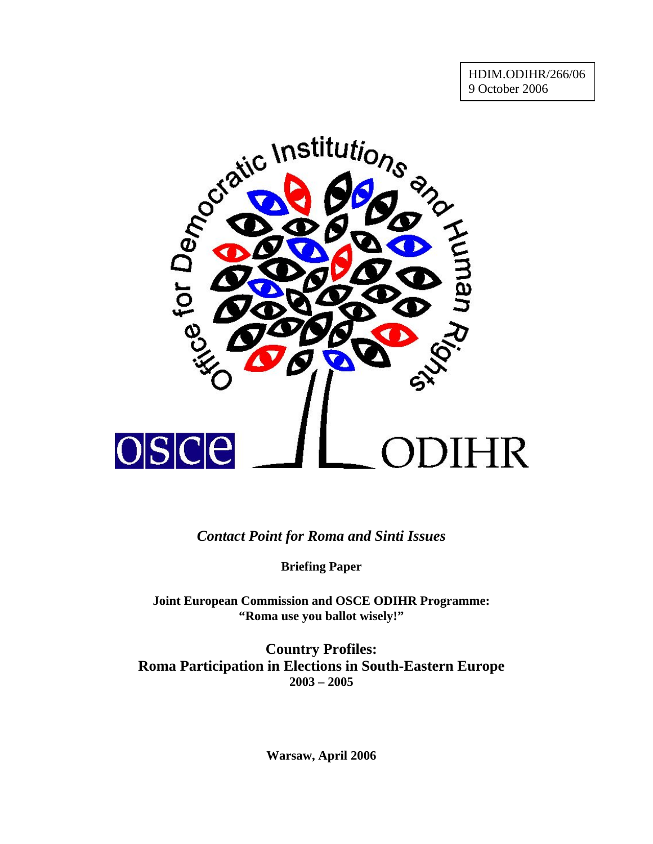

*Contact Point for Roma and Sinti Issues* 

**Briefing Paper** 

**Joint European Commission and OSCE ODIHR Programme: "Roma use you ballot wisely!"** 

**Country Profiles: Roma Participation in Elections in South-Eastern Europe 2003 – 2005** 

**Warsaw, April 2006**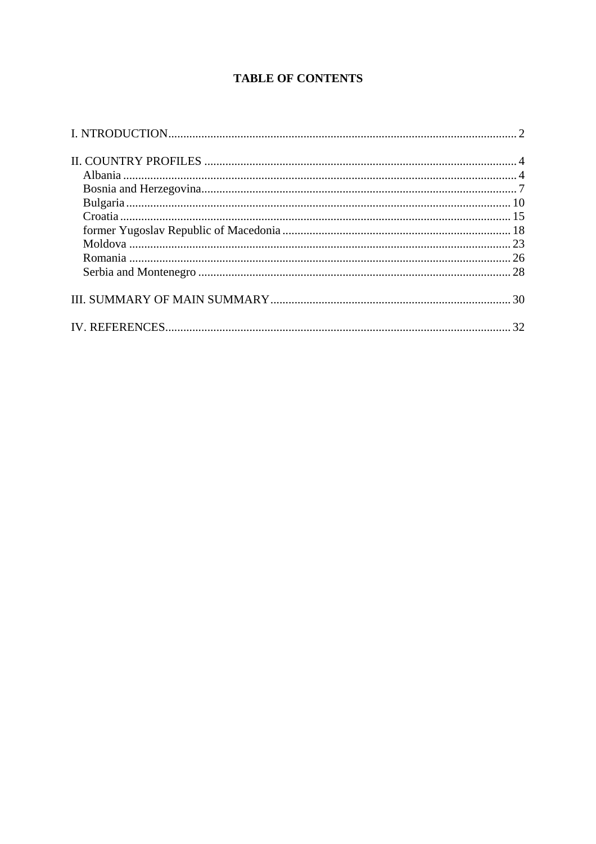# **TABLE OF CONTENTS**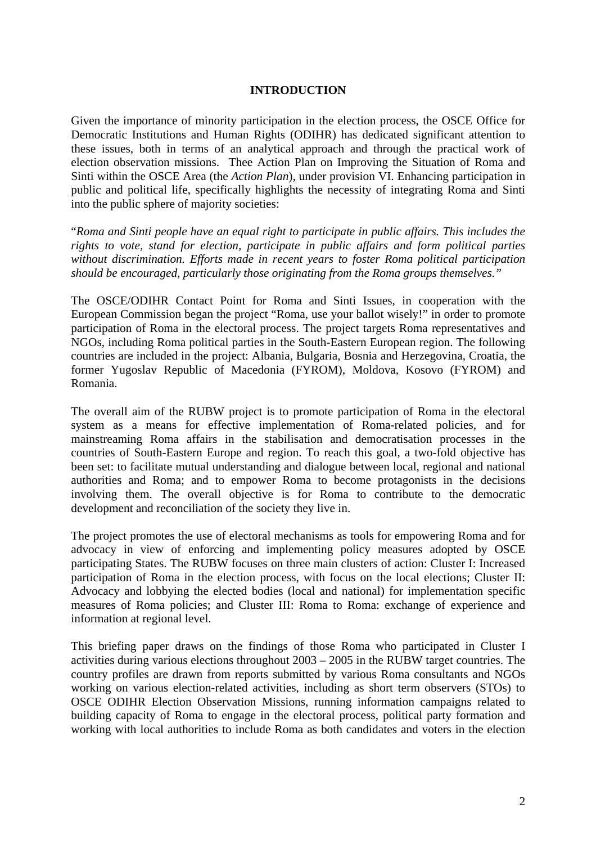### **INTRODUCTION**

<span id="page-2-0"></span>Given the importance of minority participation in the election process, the OSCE Office for Democratic Institutions and Human Rights (ODIHR) has dedicated significant attention to these issues, both in terms of an analytical approach and through the practical work of election observation missions. Thee Action Plan on Improving the Situation of Roma and Sinti within the OSCE Area (the *Action Plan*), under provision VI. Enhancing participation in public and political life, specifically highlights the necessity of integrating Roma and Sinti into the public sphere of majority societies:

"*Roma and Sinti people have an equal right to participate in public affairs. This includes the rights to vote, stand for election, participate in public affairs and form political parties without discrimination. Efforts made in recent years to foster Roma political participation should be encouraged, particularly those originating from the Roma groups themselves."* 

The OSCE/ODIHR Contact Point for Roma and Sinti Issues, in cooperation with the European Commission began the project "Roma, use your ballot wisely!" in order to promote participation of Roma in the electoral process. The project targets Roma representatives and NGOs, including Roma political parties in the South-Eastern European region. The following countries are included in the project: Albania, Bulgaria, Bosnia and Herzegovina, Croatia, the former Yugoslav Republic of Macedonia (FYROM), Moldova, Kosovo (FYROM) and Romania.

The overall aim of the RUBW project is to promote participation of Roma in the electoral system as a means for effective implementation of Roma-related policies, and for mainstreaming Roma affairs in the stabilisation and democratisation processes in the countries of South-Eastern Europe and region. To reach this goal, a two-fold objective has been set: to facilitate mutual understanding and dialogue between local, regional and national authorities and Roma; and to empower Roma to become protagonists in the decisions involving them. The overall objective is for Roma to contribute to the democratic development and reconciliation of the society they live in.

The project promotes the use of electoral mechanisms as tools for empowering Roma and for advocacy in view of enforcing and implementing policy measures adopted by OSCE participating States. The RUBW focuses on three main clusters of action: Cluster I: Increased participation of Roma in the election process, with focus on the local elections; Cluster II: Advocacy and lobbying the elected bodies (local and national) for implementation specific measures of Roma policies; and Cluster III: Roma to Roma: exchange of experience and information at regional level.

This briefing paper draws on the findings of those Roma who participated in Cluster I activities during various elections throughout 2003 – 2005 in the RUBW target countries. The country profiles are drawn from reports submitted by various Roma consultants and NGOs working on various election-related activities, including as short term observers (STOs) to OSCE ODIHR Election Observation Missions, running information campaigns related to building capacity of Roma to engage in the electoral process, political party formation and working with local authorities to include Roma as both candidates and voters in the election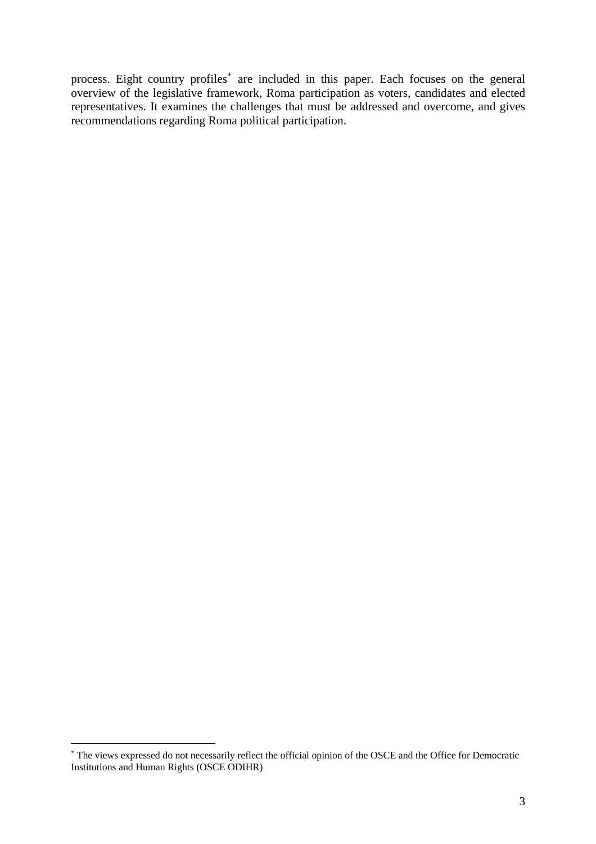<span id="page-3-0"></span>process. Eight country profiles<sup>\*</sup> are included in this paper. Each focuses on the general overview of the legislative framework, Roma participation as voters, candidates and elected representatives. It examines the challenges that must be addressed and overcome, and gives recommendations regarding Roma political participation.

<sup>∗</sup> The views expressed do not necessarily reflect the official opinion of the OSCE and the Office for Democratic Institutions and Human Rights (OSCE ODIHR)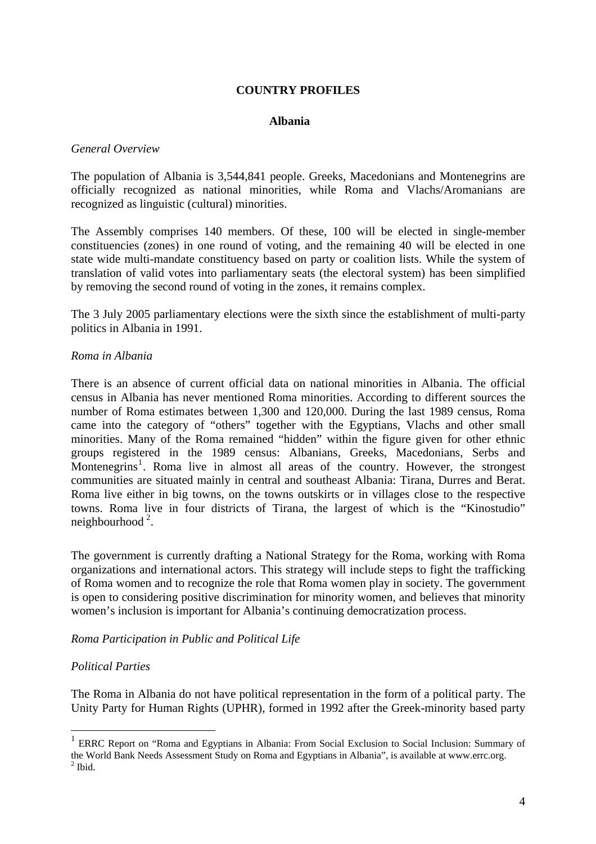### **COUNTRY PROFILES**

#### **Albania**

#### <span id="page-4-0"></span>*General Overview*

The population of Albania is 3,544,841 people. Greeks, Macedonians and Montenegrins are officially recognized as national minorities, while Roma and Vlachs/Aromanians are recognized as linguistic (cultural) minorities.

The Assembly comprises 140 members. Of these, 100 will be elected in single-member constituencies (zones) in one round of voting, and the remaining 40 will be elected in one state wide multi-mandate constituency based on party or coalition lists. While the system of translation of valid votes into parliamentary seats (the electoral system) has been simplified by removing the second round of voting in the zones, it remains complex.

The 3 July 2005 parliamentary elections were the sixth since the establishment of multi-party politics in Albania in 1991.

#### *Roma in Albania*

There is an absence of current official data on national minorities in Albania. The official census in Albania has never mentioned Roma minorities. According to different sources the number of Roma estimates between 1,300 and 120,000. During the last 1989 census, Roma came into the category of "others" together with the Egyptians, Vlachs and other small minorities. Many of the Roma remained "hidden" within the figure given for other ethnic groups registered in the 1989 census: Albanians, Greeks, Macedonians, Serbs and Montenegrins<sup>[1](#page-4-0)</sup>. Roma live in almost all areas of the country. However, the strongest communities are situated mainly in central and southeast Albania: Tirana, Durres and Berat. Roma live either in big towns, on the towns outskirts or in villages close to the respective towns. Roma live in four districts of Tirana, the largest of which is the "Kinostudio" neighbourhood [2](#page-4-0) *.* 

The government is currently drafting a National Strategy for the Roma, working with Roma organizations and international actors. This strategy will include steps to fight the trafficking of Roma women and to recognize the role that Roma women play in society. The government is open to considering positive discrimination for minority women, and believes that minority women's inclusion is important for Albania's continuing democratization process.

#### *Roma Participation in Public and Political Life*

#### *Political Parties*

 $\overline{a}$ 

The Roma in Albania do not have political representation in the form of a political party. The Unity Party for Human Rights (UPHR), formed in 1992 after the Greek-minority based party

<sup>&</sup>lt;sup>1</sup> ERRC Report on "Roma and Egyptians in Albania: From Social Exclusion to Social Inclusion: Summary of the World Bank Needs Assessment Study on Roma and Egyptians in Albania", is available at www.errc.org.  $<sup>2</sup>$  Ibid.</sup>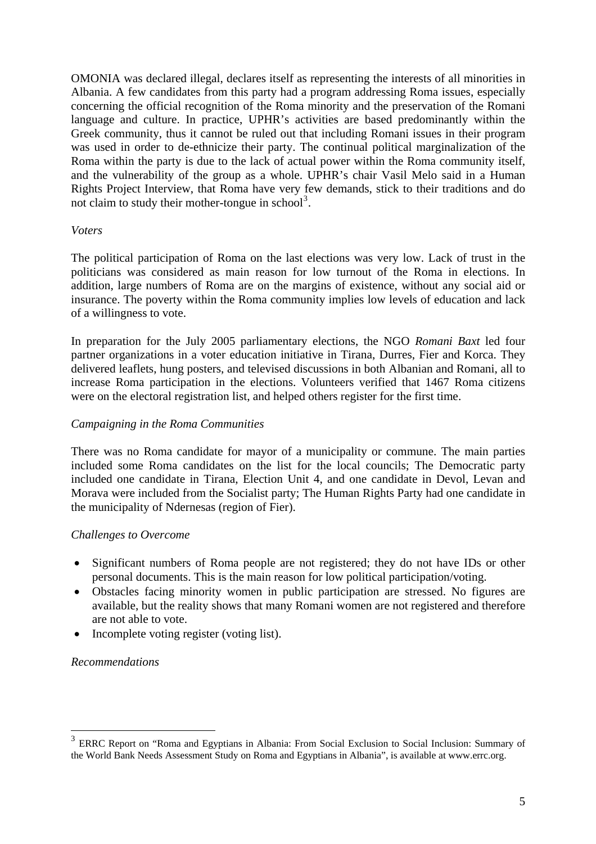<span id="page-5-0"></span>OMONIA was declared illegal, declares itself as representing the interests of all minorities in Albania. A few candidates from this party had a program addressing Roma issues, especially concerning the official recognition of the Roma minority and the preservation of the Romani language and culture. In practice, UPHR's activities are based predominantly within the Greek community, thus it cannot be ruled out that including Romani issues in their program was used in order to de-ethnicize their party. The continual political marginalization of the Roma within the party is due to the lack of actual power within the Roma community itself, and the vulnerability of the group as a whole. UPHR's chair Vasil Melo said in a Human Rights Project Interview, that Roma have very few demands, stick to their traditions and do not claim to study their mother-tongue in school<sup>[3](#page-5-0)</sup>.

#### *Voters*

The political participation of Roma on the last elections was very low. Lack of trust in the politicians was considered as main reason for low turnout of the Roma in elections. In addition, large numbers of Roma are on the margins of existence, without any social aid or insurance. The poverty within the Roma community implies low levels of education and lack of a willingness to vote.

In preparation for the July 2005 parliamentary elections, the NGO *Romani Baxt* led four partner organizations in a voter education initiative in Tirana, Durres, Fier and Korca. They delivered leaflets, hung posters, and televised discussions in both Albanian and Romani, all to increase Roma participation in the elections. Volunteers verified that 1467 Roma citizens were on the electoral registration list, and helped others register for the first time.

#### *Campaigning in the Roma Communities*

There was no Roma candidate for mayor of a municipality or commune. The main parties included some Roma candidates on the list for the local councils; The Democratic party included one candidate in Tirana, Election Unit 4, and one candidate in Devol, Levan and Morava were included from the Socialist party; The Human Rights Party had one candidate in the municipality of Ndernesas (region of Fier).

#### *Challenges to Overcome*

- Significant numbers of Roma people are not registered; they do not have IDs or other personal documents. This is the main reason for low political participation/voting.
- Obstacles facing minority women in public participation are stressed. No figures are available, but the reality shows that many Romani women are not registered and therefore are not able to vote.
- Incomplete voting register (voting list).

#### *Recommendations*

<sup>&</sup>lt;sup>3</sup> ERRC Report on "Roma and Egyptians in Albania: From Social Exclusion to Social Inclusion: Summary of the World Bank Needs Assessment Study on Roma and Egyptians in Albania", is available at www.errc.org.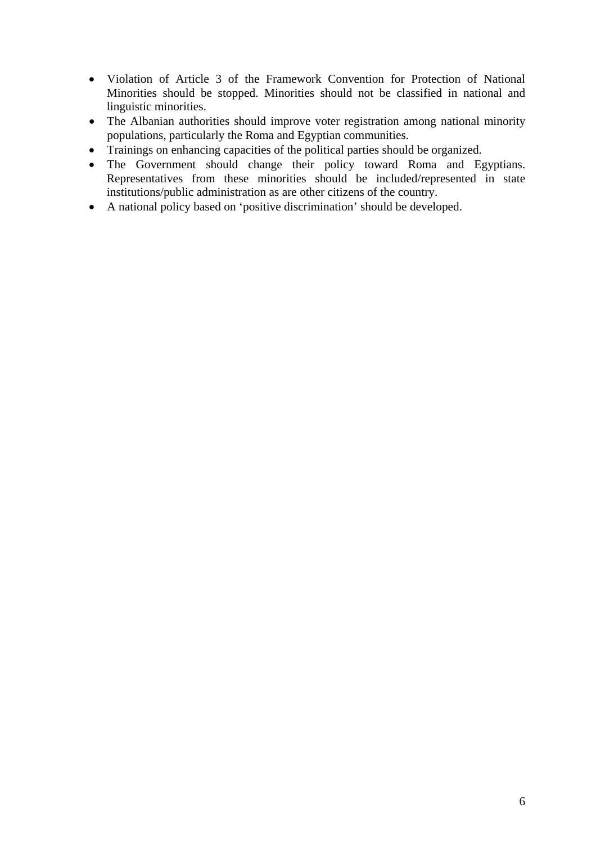- Violation of Article 3 of the Framework Convention for Protection of National Minorities should be stopped. Minorities should not be classified in national and linguistic minorities.
- The Albanian authorities should improve voter registration among national minority populations, particularly the Roma and Egyptian communities.
- Trainings on enhancing capacities of the political parties should be organized.
- The Government should change their policy toward Roma and Egyptians. Representatives from these minorities should be included/represented in state institutions/public administration as are other citizens of the country.
- A national policy based on 'positive discrimination' should be developed.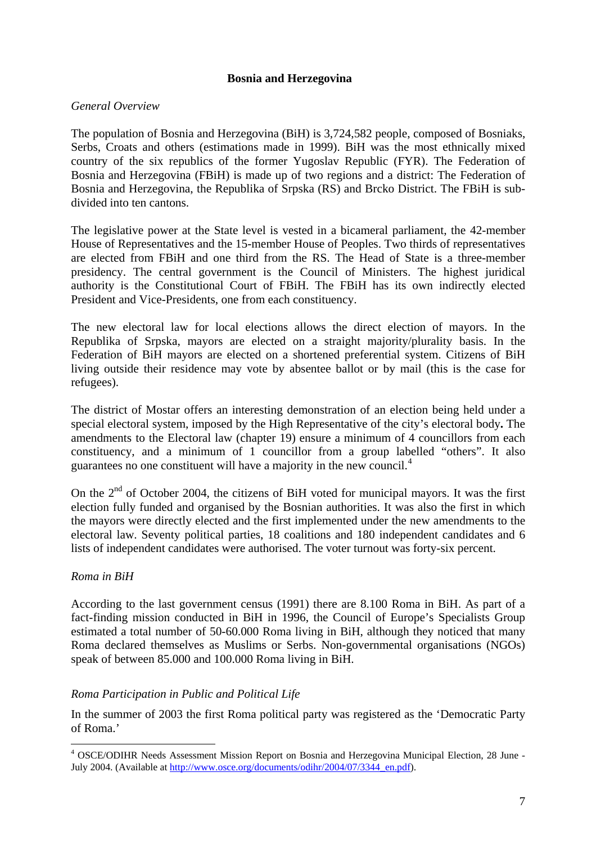### **Bosnia and Herzegovina**

### <span id="page-7-0"></span>*General Overview*

The population of Bosnia and Herzegovina (BiH) is 3,724,582 people, composed of Bosniaks, Serbs, Croats and others (estimations made in 1999). BiH was the most ethnically mixed country of the six republics of the former Yugoslav Republic (FYR). The Federation of Bosnia and Herzegovina (FBiH) is made up of two regions and a district: The Federation of Bosnia and Herzegovina, the Republika of Srpska (RS) and Brcko District. The FBiH is subdivided into ten cantons.

The legislative power at the State level is vested in a bicameral parliament, the 42-member House of Representatives and the 15-member House of Peoples. Two thirds of representatives are elected from FBiH and one third from the RS. The Head of State is a three-member presidency. The central government is the Council of Ministers. The highest juridical authority is the Constitutional Court of FBiH. The FBiH has its own indirectly elected President and Vice-Presidents, one from each constituency.

The new electoral law for local elections allows the direct election of mayors. In the Republika of Srpska, mayors are elected on a straight majority/plurality basis. In the Federation of BiH mayors are elected on a shortened preferential system. Citizens of BiH living outside their residence may vote by absentee ballot or by mail (this is the case for refugees).

The district of Mostar offers an interesting demonstration of an election being held under a special electoral system, imposed by the High Representative of the city's electoral body**.** The amendments to the Electoral law (chapter 19) ensure a minimum of 4 councillors from each constituency, and a minimum of 1 councillor from a group labelled "others". It also guarantees no one constituent will have a majority in the new council.[4](#page-7-0)

On the  $2<sup>nd</sup>$  of October 2004, the citizens of BiH voted for municipal mayors. It was the first election fully funded and organised by the Bosnian authorities. It was also the first in which the mayors were directly elected and the first implemented under the new amendments to the electoral law. Seventy political parties, 18 coalitions and 180 independent candidates and 6 lists of independent candidates were authorised. The voter turnout was forty-six percent.

#### *Roma in BiH*

 $\overline{a}$ 

According to the last government census (1991) there are 8.100 Roma in BiH. As part of a fact-finding mission conducted in BiH in 1996, the Council of Europe's Specialists Group estimated a total number of 50-60.000 Roma living in BiH, although they noticed that many Roma declared themselves as Muslims or Serbs. Non-governmental organisations (NGOs) speak of between 85.000 and 100.000 Roma living in BiH.

#### *Roma Participation in Public and Political Life*

In the summer of 2003 the first Roma political party was registered as the 'Democratic Party of Roma.'

<sup>4</sup> OSCE/ODIHR Needs Assessment Mission Report on Bosnia and Herzegovina Municipal Election, 28 June - July 2004. (Available at [http://www.osce.org/documents/odihr/2004/07/3344\\_en.pdf\)](http://www.osce.org/documents/odihr/2004/07/3344_en.pdf).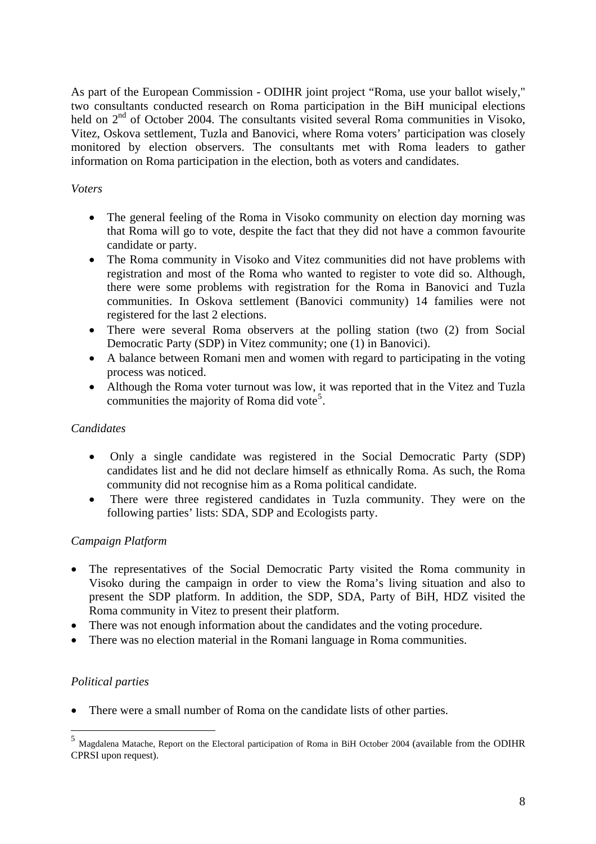<span id="page-8-0"></span>As part of the European Commission - ODIHR joint project "Roma, use your ballot wisely," two consultants conducted research on Roma participation in the BiH municipal elections held on  $2<sup>nd</sup>$  of October 2004. The consultants visited several Roma communities in Visoko, Vitez, Oskova settlement, Tuzla and Banovici, where Roma voters' participation was closely monitored by election observers. The consultants met with Roma leaders to gather information on Roma participation in the election, both as voters and candidates.

## *Voters*

- The general feeling of the Roma in Visoko community on election day morning was that Roma will go to vote, despite the fact that they did not have a common favourite candidate or party.
- The Roma community in Visoko and Vitez communities did not have problems with registration and most of the Roma who wanted to register to vote did so. Although, there were some problems with registration for the Roma in Banovici and Tuzla communities. In Oskova settlement (Banovici community) 14 families were not registered for the last 2 elections.
- There were several Roma observers at the polling station (two  $(2)$  from Social Democratic Party (SDP) in Vitez community; one (1) in Banovici).
- A balance between Romani men and women with regard to participating in the voting process was noticed.
- Although the Roma voter turnout was low, it was reported that in the Vitez and Tuzla communities the majority of Roma did vote<sup>[5](#page-8-0)</sup>.

### *Candidates*

- Only a single candidate was registered in the Social Democratic Party (SDP) candidates list and he did not declare himself as ethnically Roma. As such, the Roma community did not recognise him as a Roma political candidate.
- There were three registered candidates in Tuzla community. They were on the following parties' lists: SDA, SDP and Ecologists party.

## *Campaign Platform*

- The representatives of the Social Democratic Party visited the Roma community in Visoko during the campaign in order to view the Roma's living situation and also to present the SDP platform. In addition, the SDP, SDA, Party of BiH, HDZ visited the Roma community in Vitez to present their platform.
- There was not enough information about the candidates and the voting procedure.
- There was no election material in the Romani language in Roma communities.

## *Political parties*

 $\overline{a}$ 

There were a small number of Roma on the candidate lists of other parties.

<sup>5</sup> Magdalena Matache, Report on the Electoral participation of Roma in BiH October 2004 (available from the ODIHR CPRSI upon request).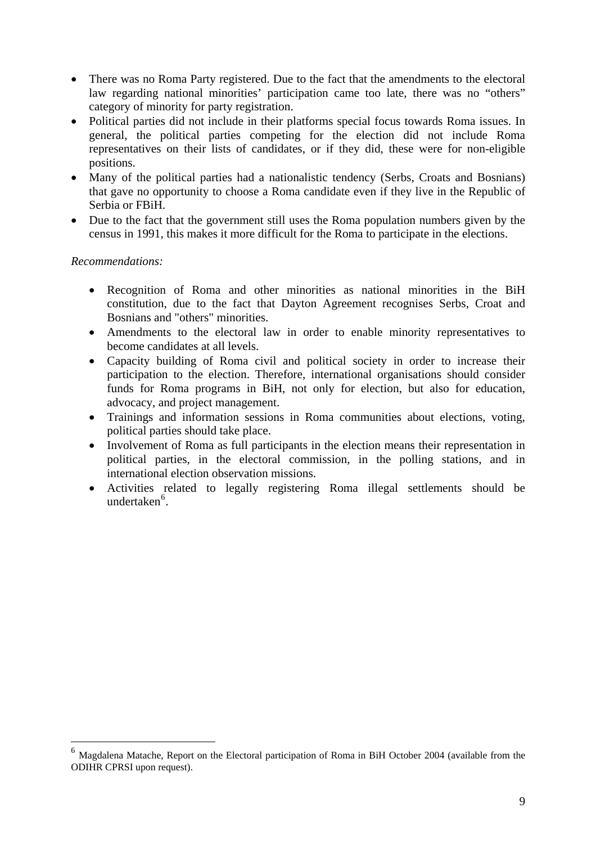- <span id="page-9-0"></span>• There was no Roma Party registered. Due to the fact that the amendments to the electoral law regarding national minorities' participation came too late, there was no "others" category of minority for party registration.
- Political parties did not include in their platforms special focus towards Roma issues. In general, the political parties competing for the election did not include Roma representatives on their lists of candidates, or if they did, these were for non-eligible positions.
- Many of the political parties had a nationalistic tendency (Serbs, Croats and Bosnians) that gave no opportunity to choose a Roma candidate even if they live in the Republic of Serbia or FBiH.
- Due to the fact that the government still uses the Roma population numbers given by the census in 1991, this makes it more difficult for the Roma to participate in the elections.

### *Recommendations:*

- Recognition of Roma and other minorities as national minorities in the BiH constitution, due to the fact that Dayton Agreement recognises Serbs, Croat and Bosnians and "others" minorities.
- Amendments to the electoral law in order to enable minority representatives to become candidates at all levels.
- Capacity building of Roma civil and political society in order to increase their participation to the election. Therefore, international organisations should consider funds for Roma programs in BiH, not only for election, but also for education, advocacy, and project management.
- Trainings and information sessions in Roma communities about elections, voting, political parties should take place.
- Involvement of Roma as full participants in the election means their representation in political parties, in the electoral commission, in the polling stations, and in international election observation missions.
- Activities related to legally registering Roma illegal settlements should be undertaken<sup>[6](#page-9-0)</sup>.

<sup>6</sup> Magdalena Matache, Report on the Electoral participation of Roma in BiH October 2004 (available from the ODIHR CPRSI upon request).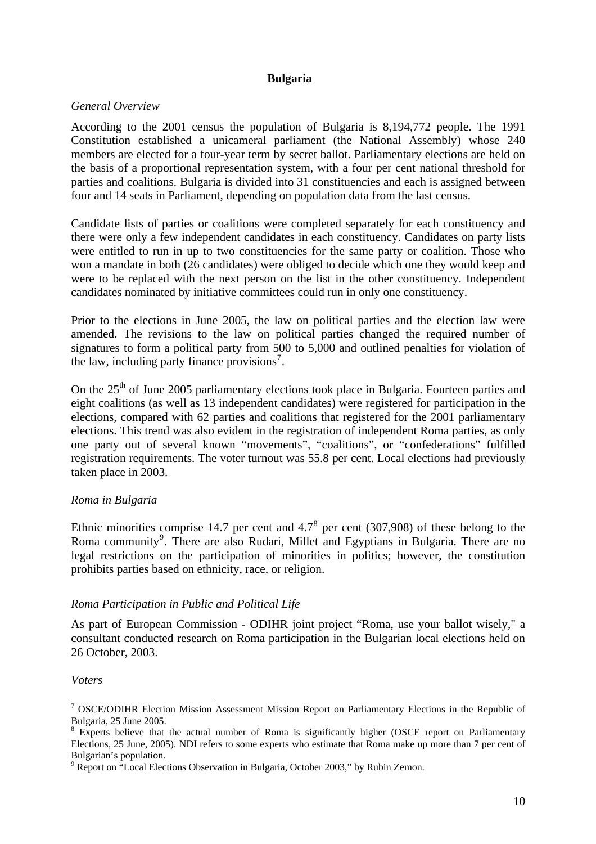### **Bulgaria**

## <span id="page-10-0"></span>*General Overview*

According to the 2001 census the population of Bulgaria is 8,194,772 people. The 1991 Constitution established a unicameral parliament (the National Assembly) whose 240 members are elected for a four-year term by secret ballot. Parliamentary elections are held on the basis of a proportional representation system, with a four per cent national threshold for parties and coalitions. Bulgaria is divided into 31 constituencies and each is assigned between four and 14 seats in Parliament, depending on population data from the last census.

Candidate lists of parties or coalitions were completed separately for each constituency and there were only a few independent candidates in each constituency. Candidates on party lists were entitled to run in up to two constituencies for the same party or coalition. Those who won a mandate in both (26 candidates) were obliged to decide which one they would keep and were to be replaced with the next person on the list in the other constituency. Independent candidates nominated by initiative committees could run in only one constituency.

Prior to the elections in June 2005, the law on political parties and the election law were amended. The revisions to the law on political parties changed the required number of signatures to form a political party from 500 to 5,000 and outlined penalties for violation of the law, including party finance provisions<sup>[7](#page-10-0)</sup>.

On the  $25<sup>th</sup>$  of June 2005 parliamentary elections took place in Bulgaria. Fourteen parties and eight coalitions (as well as 13 independent candidates) were registered for participation in the elections, compared with 62 parties and coalitions that registered for the 2001 parliamentary elections. This trend was also evident in the registration of independent Roma parties, as only one party out of several known "movements", "coalitions", or "confederations" fulfilled registration requirements. The voter turnout was 55.8 per cent. Local elections had previously taken place in 2003.

## *Roma in Bulgaria*

Ethnic minorities comprise 14.7 per cent and  $4.7^8$  $4.7^8$  per cent (307,908) of these belong to the Roma community<sup>[9](#page-10-0)</sup>. There are also Rudari, Millet and Egyptians in Bulgaria. There are no legal restrictions on the participation of minorities in politics; however, the constitution prohibits parties based on ethnicity, race, or religion.

#### *Roma Participation in Public and Political Life*

As part of European Commission - ODIHR joint project "Roma, use your ballot wisely," a consultant conducted research on Roma participation in the Bulgarian local elections held on 26 October, 2003.

#### *Voters*

<sup>&</sup>lt;sup>7</sup> OSCE/ODIHR Election Mission Assessment Mission Report on Parliamentary Elections in the Republic of Bulgaria, 25 June 2005.

<sup>&</sup>lt;sup>8</sup> Experts believe that the actual number of Roma is significantly higher (OSCE report on Parliamentary Elections, 25 June, 2005). NDI refers to some experts who estimate that Roma make up more than 7 per cent of Bulgarian's population.

<sup>&</sup>lt;sup>9</sup> Report on "Local Elections Observation in Bulgaria, October 2003," by Rubin Zemon.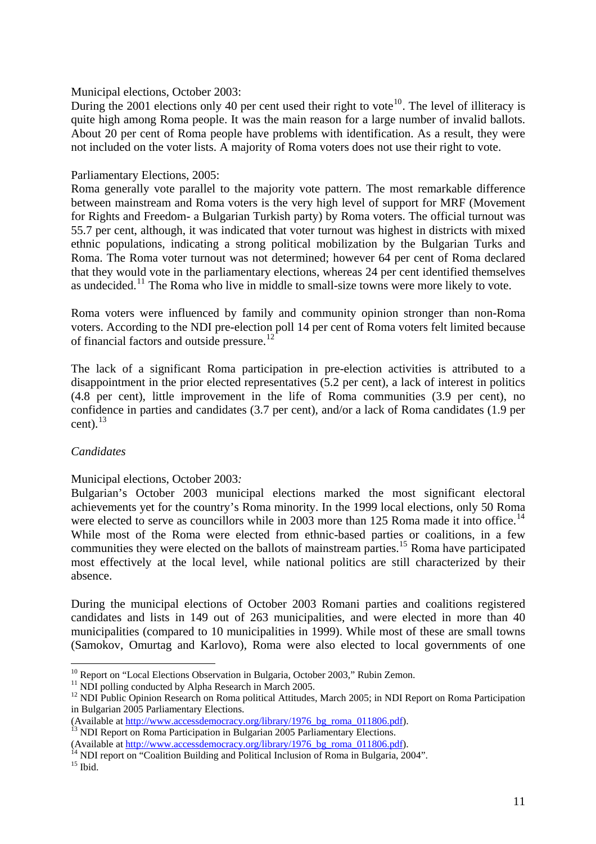<span id="page-11-0"></span>Municipal elections, October 2003:

During the 2001 elections only 40 per cent used their right to vote<sup>[10](#page-11-0)</sup>. The level of illiteracy is quite high among Roma people. It was the main reason for a large number of invalid ballots. About 20 per cent of Roma people have problems with identification. As a result, they were not included on the voter lists. A majority of Roma voters does not use their right to vote.

### Parliamentary Elections, 2005:

Roma generally vote parallel to the majority vote pattern. The most remarkable difference between mainstream and Roma voters is the very high level of support for MRF (Movement for Rights and Freedom- a Bulgarian Turkish party) by Roma voters. The official turnout was 55.7 per cent, although, it was indicated that voter turnout was highest in districts with mixed ethnic populations, indicating a strong political mobilization by the Bulgarian Turks and Roma. The Roma voter turnout was not determined; however 64 per cent of Roma declared that they would vote in the parliamentary elections, whereas 24 per cent identified themselves as undecided.<sup>[11](#page-11-0)</sup> The Roma who live in middle to small-size towns were more likely to vote.

Roma voters were influenced by family and community opinion stronger than non-Roma voters. According to the NDI pre-election poll 14 per cent of Roma voters felt limited because of financial factors and outside pressure.<sup>[12](#page-11-0)</sup>

The lack of a significant Roma participation in pre-election activities is attributed to a disappointment in the prior elected representatives (5.2 per cent), a lack of interest in politics (4.8 per cent), little improvement in the life of Roma communities (3.9 per cent), no confidence in parties and candidates (3.7 per cent), and/or a lack of Roma candidates (1.9 per cent). $^{13}$  $^{13}$  $^{13}$ 

## *Candidates*

Municipal elections, October 2003*:* 

Bulgarian's October 2003 municipal elections marked the most significant electoral achievements yet for the country's Roma minority. In the 1999 local elections, only 50 Roma were elected to serve as councillors while in 2003 more than 125 Roma made it into office.<sup>[14](#page-11-0)</sup> While most of the Roma were elected from ethnic-based parties or coalitions, in a few communities they were elected on the ballots of mainstream parties.[15](#page-11-0) Roma have participated most effectively at the local level, while national politics are still characterized by their absence.

During the municipal elections of October 2003 Romani parties and coalitions registered candidates and lists in 149 out of 263 municipalities, and were elected in more than 40 municipalities (compared to 10 municipalities in 1999). While most of these are small towns (Samokov, Omurtag and Karlovo), Roma were also elected to local governments of one

<sup>&</sup>lt;sup>10</sup> Report on "Local Elections Observation in Bulgaria, October 2003," Rubin Zemon.

 $11$  NDI polling conducted by Alpha Research in March 2005.

<sup>&</sup>lt;sup>12</sup> NDI Public Opinion Research on Roma political Attitudes, March 2005; in NDI Report on Roma Participation in Bulgarian 2005 Parliamentary Elections.

<sup>(</sup>Available at [http://www.accessdemocracy.org/library/1976\\_bg\\_roma\\_011806.pdf](http://www.accessdemocracy.org/library/1976_bg_roma_011806.pdf)). <sup>13</sup> NDI Report on Roma Participation in Bulgarian 2005 Parliamentary Elections.

<sup>(</sup>Available at [http://www.accessdemocracy.org/library/1976\\_bg\\_roma\\_011806.pdf](http://www.accessdemocracy.org/library/1976_bg_roma_011806.pdf)).<br><sup>14</sup> NDI report on "Coalition Building and Political Inclusion of Roma in Bulgaria, 2004".

 $15$  Ibid.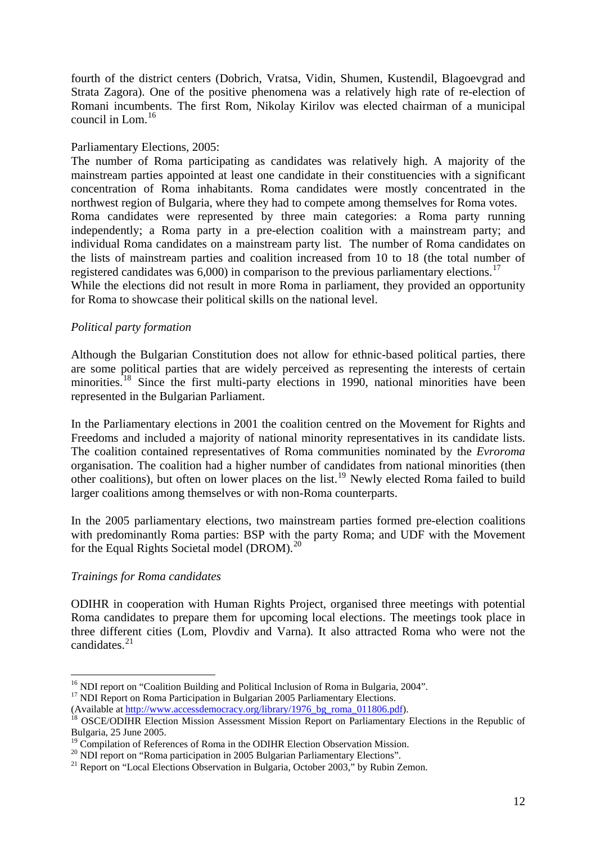<span id="page-12-0"></span>fourth of the district centers (Dobrich, Vratsa, Vidin, Shumen, Kustendil, Blagoevgrad and Strata Zagora). One of the positive phenomena was a relatively high rate of re-election of Romani incumbents. The first Rom, Nikolay Kirilov was elected chairman of a municipal council in Lom.[16](#page-12-0)

### Parliamentary Elections, 2005:

The number of Roma participating as candidates was relatively high. A majority of the mainstream parties appointed at least one candidate in their constituencies with a significant concentration of Roma inhabitants. Roma candidates were mostly concentrated in the northwest region of Bulgaria, where they had to compete among themselves for Roma votes. Roma candidates were represented by three main categories: a Roma party running independently; a Roma party in a pre-election coalition with a mainstream party; and individual Roma candidates on a mainstream party list. The number of Roma candidates on the lists of mainstream parties and coalition increased from 10 to 18 (the total number of registered candidates was  $6,000$  in comparison to the previous parliamentary elections.<sup>[17](#page-12-0)</sup> While the elections did not result in more Roma in parliament, they provided an opportunity for Roma to showcase their political skills on the national level.

### *Political party formation*

Although the Bulgarian Constitution does not allow for ethnic-based political parties, there are some political parties that are widely perceived as representing the interests of certain minorities.<sup>[18](#page-12-0)</sup> Since the first multi-party elections in 1990, national minorities have been represented in the Bulgarian Parliament.

In the Parliamentary elections in 2001 the coalition centred on the Movement for Rights and Freedoms and included a majority of national minority representatives in its candidate lists. The coalition contained representatives of Roma communities nominated by the *Evroroma* organisation. The coalition had a higher number of candidates from national minorities (then other coalitions), but often on lower places on the list.<sup>[19](#page-12-0)</sup> Newly elected Roma failed to build larger coalitions among themselves or with non-Roma counterparts.

In the 2005 parliamentary elections, two mainstream parties formed pre-election coalitions with predominantly Roma parties: BSP with the party Roma; and UDF with the Movement for the Equal Rights Societal model (DROM).<sup>[20](#page-12-0)</sup>

#### *Trainings for Roma candidates*

 $\overline{a}$ 

ODIHR in cooperation with Human Rights Project, organised three meetings with potential Roma candidates to prepare them for upcoming local elections. The meetings took place in three different cities (Lom, Plovdiv and Varna). It also attracted Roma who were not the candidates.<sup>[21](#page-12-0)</sup>

<sup>&</sup>lt;sup>16</sup> NDI report on "Coalition Building and Political Inclusion of Roma in Bulgaria, 2004".

<sup>&</sup>lt;sup>17</sup> NDI Report on Roma Participation in Bulgarian 2005 Parliamentary Elections.

<sup>(</sup>Available at [http://www.accessdemocracy.org/library/1976\\_bg\\_roma\\_011806.pdf](http://www.accessdemocracy.org/library/1976_bg_roma_011806.pdf)).<br><sup>18</sup> OSCE/ODIHR Election Mission Assessment Mission Report on Parliamentary Elections in the Republic of Bulgaria, 25 June 2005.

<sup>&</sup>lt;sup>19</sup> Compilation of References of Roma in the ODIHR Election Observation Mission.<br><sup>20</sup> NDI report on "Roma participation in 2005 Bulgarian Parliamentary Elections".

<sup>&</sup>lt;sup>21</sup> Report on "Local Elections Observation in Bulgaria, October 2003," by Rubin Zemon.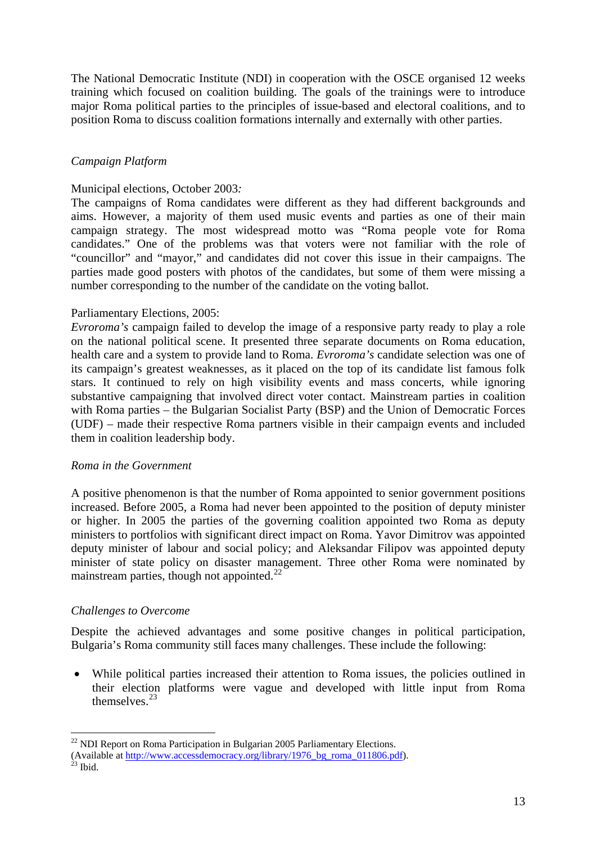<span id="page-13-0"></span>The National Democratic Institute (NDI) in cooperation with the OSCE organised 12 weeks training which focused on coalition building. The goals of the trainings were to introduce major Roma political parties to the principles of issue-based and electoral coalitions, and to position Roma to discuss coalition formations internally and externally with other parties.

## *Campaign Platform*

#### Municipal elections, October 2003*:*

The campaigns of Roma candidates were different as they had different backgrounds and aims. However, a majority of them used music events and parties as one of their main campaign strategy. The most widespread motto was "Roma people vote for Roma candidates." One of the problems was that voters were not familiar with the role of "councillor" and "mayor," and candidates did not cover this issue in their campaigns. The parties made good posters with photos of the candidates, but some of them were missing a number corresponding to the number of the candidate on the voting ballot.

#### Parliamentary Elections, 2005:

*Evroroma's* campaign failed to develop the image of a responsive party ready to play a role on the national political scene. It presented three separate documents on Roma education, health care and a system to provide land to Roma. *Evroroma's* candidate selection was one of its campaign's greatest weaknesses, as it placed on the top of its candidate list famous folk stars. It continued to rely on high visibility events and mass concerts, while ignoring substantive campaigning that involved direct voter contact. Mainstream parties in coalition with Roma parties – the Bulgarian Socialist Party (BSP) and the Union of Democratic Forces (UDF) – made their respective Roma partners visible in their campaign events and included them in coalition leadership body.

#### *Roma in the Government*

A positive phenomenon is that the number of Roma appointed to senior government positions increased. Before 2005, a Roma had never been appointed to the position of deputy minister or higher. In 2005 the parties of the governing coalition appointed two Roma as deputy ministers to portfolios with significant direct impact on Roma. Yavor Dimitrov was appointed deputy minister of labour and social policy; and Aleksandar Filipov was appointed deputy minister of state policy on disaster management. Three other Roma were nominated by mainstream parties, though not appointed. $^{22}$  $^{22}$  $^{22}$ 

#### *Challenges to Overcome*

Despite the achieved advantages and some positive changes in political participation, Bulgaria's Roma community still faces many challenges. These include the following:

• While political parties increased their attention to Roma issues, the policies outlined in their election platforms were vague and developed with little input from Roma themselves.[23](#page-13-0)

<sup>&</sup>lt;sup>22</sup> NDI Report on Roma Participation in Bulgarian 2005 Parliamentary Elections.

<sup>(</sup>Available at [http://www.accessdemocracy.org/library/1976\\_bg\\_roma\\_011806.pdf](http://www.accessdemocracy.org/library/1976_bg_roma_011806.pdf)).<br><sup>23</sup> Ibid.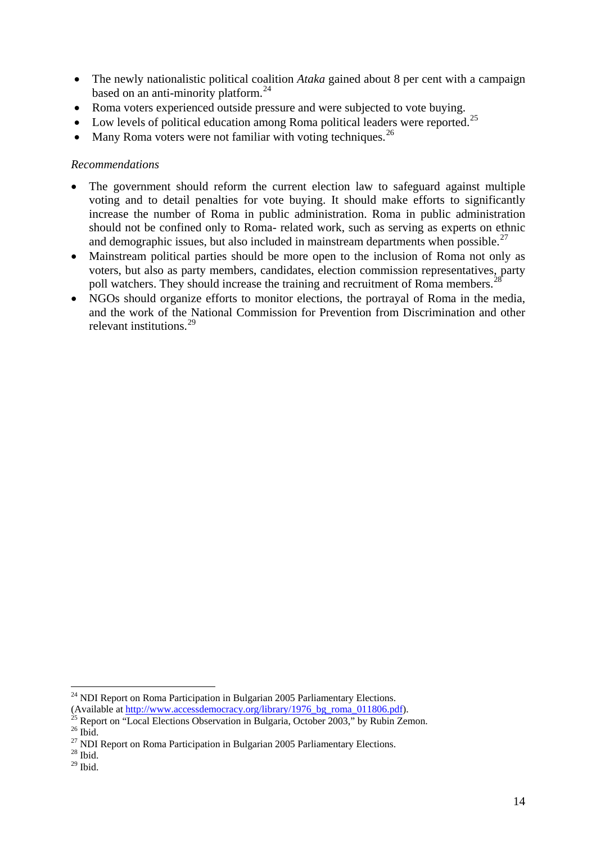- <span id="page-14-0"></span>• The newly nationalistic political coalition *Ataka* gained about 8 per cent with a campaign based on an anti-minority platform.<sup>[24](#page-14-0)</sup>
- Roma voters experienced outside pressure and were subjected to vote buying.
- Low levels of political education among Roma political leaders were reported.<sup>[25](#page-14-0)</sup>
- Many Roma voters were not familiar with voting techniques.<sup>[26](#page-14-0)</sup>

#### *Recommendations*

- The government should reform the current election law to safeguard against multiple voting and to detail penalties for vote buying. It should make efforts to significantly increase the number of Roma in public administration. Roma in public administration should not be confined only to Roma- related work, such as serving as experts on ethnic and demographic issues, but also included in mainstream departments when possible.<sup>[27](#page-14-0)</sup>
- Mainstream political parties should be more open to the inclusion of Roma not only as voters, but also as party members, candidates, election commission representatives, party poll watchers. They should increase the training and recruitment of Roma members.<sup>2</sup>
- NGOs should organize efforts to monitor elections, the portrayal of Roma in the media, and the work of the National Commission for Prevention from Discrimination and other relevant institutions.<sup>[29](#page-14-0)</sup>

 $^{24}$  NDI Report on Roma Participation in Bulgarian 2005 Parliamentary Elections.

<sup>(</sup>Available at [http://www.accessdemocracy.org/library/1976\\_bg\\_roma\\_011806.pdf](http://www.accessdemocracy.org/library/1976_bg_roma_011806.pdf)).<br><sup>25</sup> Report on "Local Elections Observation in Bulgaria, October 2003," by Rubin Zemon.

 $26$  Ibid.

 $27$  NDI Report on Roma Participation in Bulgarian 2005 Parliamentary Elections.

 $28$  Ibid.

 $29$  Ibid.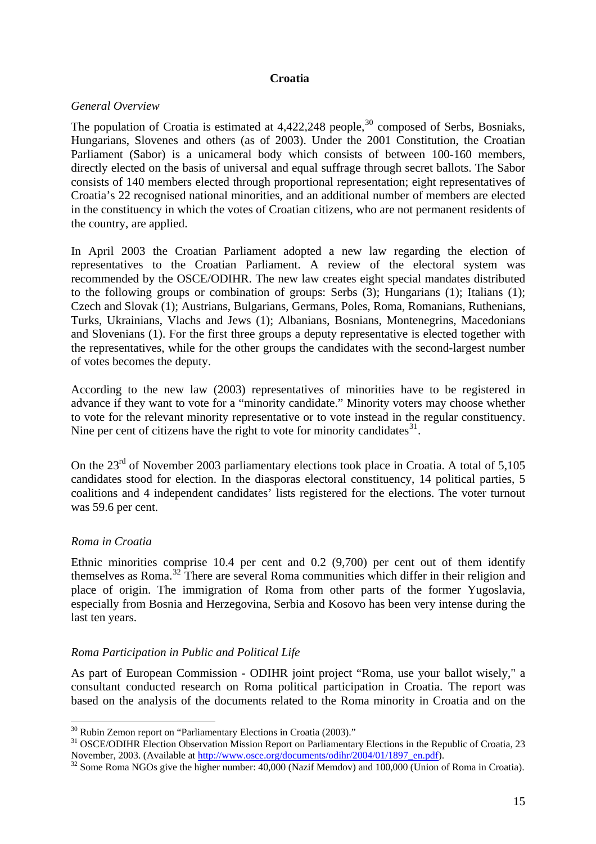### **Croatia**

### <span id="page-15-0"></span>*General Overview*

The population of Croatia is estimated at  $4,422,248$  people,<sup>[30](#page-15-0)</sup> composed of Serbs, Bosniaks, Hungarians, Slovenes and others (as of 2003). Under the 2001 Constitution, the Croatian Parliament (Sabor) is a unicameral body which consists of between 100-160 members, directly elected on the basis of universal and equal suffrage through secret ballots. The Sabor consists of 140 members elected through proportional representation; eight representatives of Croatia's 22 recognised national minorities, and an additional number of members are elected in the constituency in which the votes of Croatian citizens, who are not permanent residents of the country, are applied.

In April 2003 the Croatian Parliament adopted a new law regarding the election of representatives to the Croatian Parliament. A review of the electoral system was recommended by the OSCE/ODIHR. The new law creates eight special mandates distributed to the following groups or combination of groups: Serbs (3); Hungarians (1); Italians (1); Czech and Slovak (1); Austrians, Bulgarians, Germans, Poles, Roma, Romanians, Ruthenians, Turks, Ukrainians, Vlachs and Jews (1); Albanians, Bosnians, Montenegrins, Macedonians and Slovenians (1). For the first three groups a deputy representative is elected together with the representatives, while for the other groups the candidates with the second-largest number of votes becomes the deputy.

According to the new law (2003) representatives of minorities have to be registered in advance if they want to vote for a "minority candidate." Minority voters may choose whether to vote for the relevant minority representative or to vote instead in the regular constituency. Nine per cent of citizens have the right to vote for minority candidates  $31$ .

On the 23<sup>rd</sup> of November 2003 parliamentary elections took place in Croatia. A total of 5,105 candidates stood for election. In the diasporas electoral constituency, 14 political parties, 5 coalitions and 4 independent candidates' lists registered for the elections. The voter turnout was 59.6 per cent.

## *Roma in Croatia*

 $\overline{a}$ 

Ethnic minorities comprise 10.4 per cent and 0.2 (9,700) per cent out of them identify themselves as Roma.[32](#page-15-0) There are several Roma communities which differ in their religion and place of origin. The immigration of Roma from other parts of the former Yugoslavia, especially from Bosnia and Herzegovina, Serbia and Kosovo has been very intense during the last ten years.

## *Roma Participation in Public and Political Life*

As part of European Commission - ODIHR joint project "Roma, use your ballot wisely," a consultant conducted research on Roma political participation in Croatia. The report was based on the analysis of the documents related to the Roma minority in Croatia and on the

 $30$  Rubin Zemon report on "Parliamentary Elections in Croatia (2003)."

<sup>&</sup>lt;sup>31</sup> OSCE/ODIHR Election Observation Mission Report on Parliamentary Elections in the Republic of Croatia, 23<br>November, 2003. (Available at http://www.osce.org/documents/odihr/2004/01/1897 en.pdf).

 $32$  Some Roma NGOs give the higher number: 40,000 (Nazif Memdov) and 100,000 (Union of Roma in Croatia).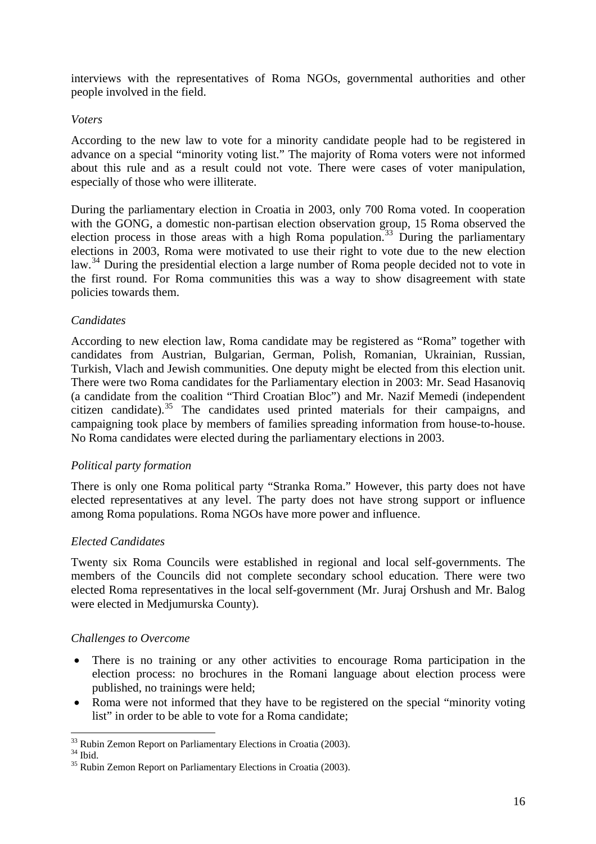<span id="page-16-0"></span>interviews with the representatives of Roma NGOs, governmental authorities and other people involved in the field.

### *Voters*

According to the new law to vote for a minority candidate people had to be registered in advance on a special "minority voting list." The majority of Roma voters were not informed about this rule and as a result could not vote. There were cases of voter manipulation, especially of those who were illiterate.

During the parliamentary election in Croatia in 2003, only 700 Roma voted. In cooperation with the GONG, a domestic non-partisan election observation group, 15 Roma observed the election process in those areas with a high Roma population.<sup>[33](#page-16-0)</sup> During the parliamentary elections in 2003, Roma were motivated to use their right to vote due to the new election law.<sup>[34](#page-16-0)</sup> During the presidential election a large number of Roma people decided not to vote in the first round. For Roma communities this was a way to show disagreement with state policies towards them.

### *Candidates*

According to new election law, Roma candidate may be registered as "Roma" together with candidates from Austrian, Bulgarian, German, Polish, Romanian, Ukrainian, Russian, Turkish, Vlach and Jewish communities. One deputy might be elected from this election unit. There were two Roma candidates for the Parliamentary election in 2003: Mr. Sead Hasanoviq (a candidate from the coalition "Third Croatian Bloc") and Mr. Nazif Memedi (independent citizen candidate).<sup>[35](#page-16-0)</sup> The candidates used printed materials for their campaigns, and campaigning took place by members of families spreading information from house-to-house. No Roma candidates were elected during the parliamentary elections in 2003.

#### *Political party formation*

There is only one Roma political party "Stranka Roma." However, this party does not have elected representatives at any level. The party does not have strong support or influence among Roma populations. Roma NGOs have more power and influence.

## *Elected Candidates*

Twenty six Roma Councils were established in regional and local self-governments. The members of the Councils did not complete secondary school education. There were two elected Roma representatives in the local self-government (Mr. Juraj Orshush and Mr. Balog were elected in Medjumurska County).

#### *Challenges to Overcome*

- There is no training or any other activities to encourage Roma participation in the election process: no brochures in the Romani language about election process were published, no trainings were held;
- Roma were not informed that they have to be registered on the special "minority voting" list" in order to be able to vote for a Roma candidate;

<sup>&</sup>lt;sup>33</sup> Rubin Zemon Report on Parliamentary Elections in Croatia (2003).

<sup>34</sup> Ibid.

<sup>&</sup>lt;sup>35</sup> Rubin Zemon Report on Parliamentary Elections in Croatia (2003).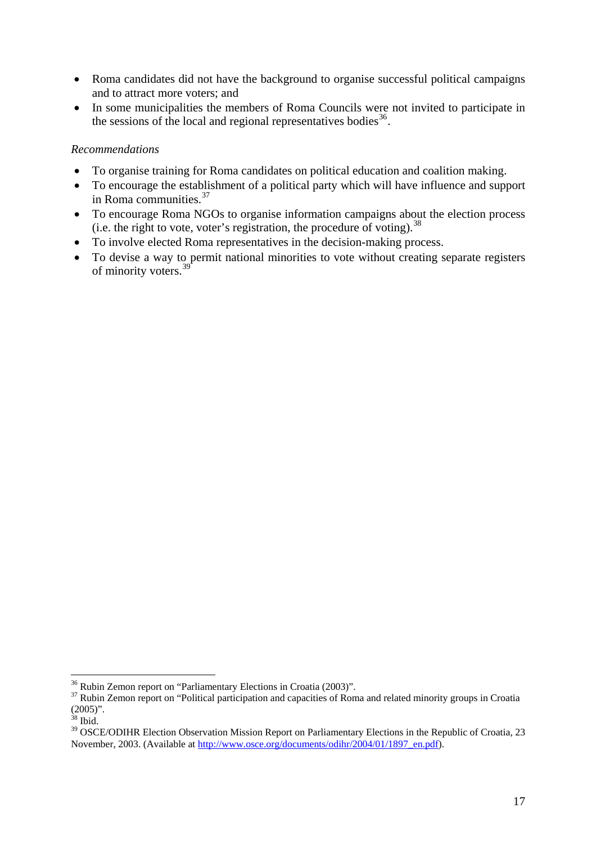- <span id="page-17-0"></span>• Roma candidates did not have the background to organise successful political campaigns and to attract more voters; and
- In some municipalities the members of Roma Councils were not invited to participate in the sessions of the local and regional representatives bodies<sup>[36](#page-17-0)</sup>.

### *Recommendations*

- To organise training for Roma candidates on political education and coalition making.
- To encourage the establishment of a political party which will have influence and support in Roma communities.<sup>[37](#page-17-0)</sup>
- To encourage Roma NGOs to organise information campaigns about the election process (i.e. the right to vote, voter's registration, the procedure of voting).  $38$
- To involve elected Roma representatives in the decision-making process.
- To devise a way to permit national minorities to vote without creating separate registers of minority voters.[39](#page-17-0)

 $\overline{a}$  $36$  Rubin Zemon report on "Parliamentary Elections in Croatia (2003)".

<sup>&</sup>lt;sup>37</sup> Rubin Zemon report on "Political participation and capacities of Roma and related minority groups in Croatia  $(2005)$ ".

 $38$  Ibid.

<sup>&</sup>lt;sup>39</sup> OSCE/ODIHR Election Observation Mission Report on Parliamentary Elections in the Republic of Croatia, 23 November, 2003. (Available at [http://www.osce.org/documents/odihr/2004/01/1897\\_en.pdf\)](http://www.osce.org/documents/odihr/2004/01/1897_en.pdf).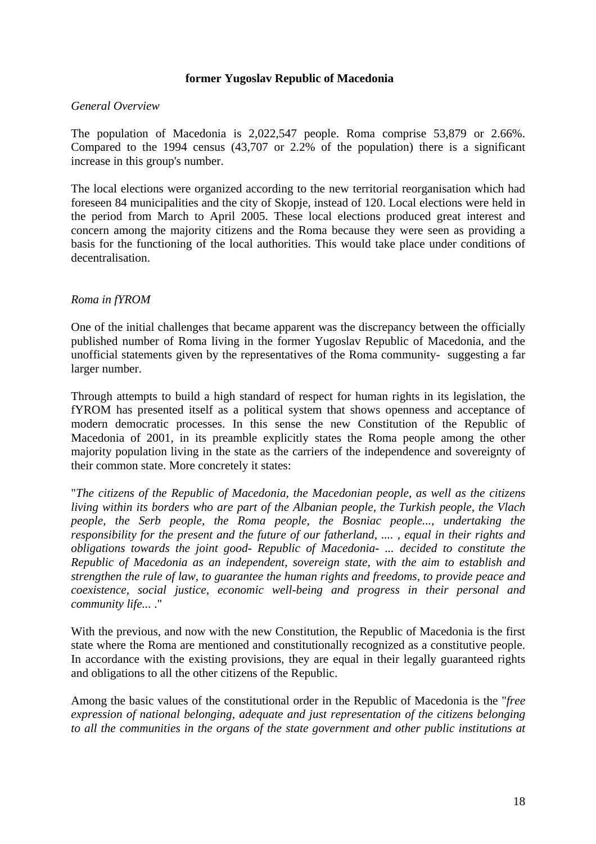### **former Yugoslav Republic of Macedonia**

### <span id="page-18-0"></span>*General Overview*

The population of Macedonia is 2,022,547 people. Roma comprise 53,879 or 2.66%. Compared to the 1994 census (43,707 or 2.2% of the population) there is a significant increase in this group's number.

The local elections were organized according to the new territorial reorganisation which had foreseen 84 municipalities and the city of Skopje, instead of 120. Local elections were held in the period from March to April 2005. These local elections produced great interest and concern among the majority citizens and the Roma because they were seen as providing a basis for the functioning of the local authorities. This would take place under conditions of decentralisation.

### *Roma in fYROM*

One of the initial challenges that became apparent was the discrepancy between the officially published number of Roma living in the former Yugoslav Republic of Macedonia, and the unofficial statements given by the representatives of the Roma community- suggesting a far larger number.

Through attempts to build a high standard of respect for human rights in its legislation, the fYROM has presented itself as a political system that shows openness and acceptance of modern democratic processes. In this sense the new Constitution of the Republic of Macedonia of 2001, in its preamble explicitly states the Roma people among the other majority population living in the state as the carriers of the independence and sovereignty of their common state. More concretely it states:

"*The citizens of the Republic of Macedonia, the Macedonian people, as well as the citizens living within its borders who are part of the Albanian people, the Turkish people, the Vlach people, the Serb people, the Roma people, the Bosniac people..., undertaking the responsibility for the present and the future of our fatherland, .... , equal in their rights and obligations towards the joint good- Republic of Macedonia- ... decided to constitute the Republic of Macedonia as an independent, sovereign state, with the aim to establish and strengthen the rule of law, to guarantee the human rights and freedoms, to provide peace and coexistence, social justice, economic well-being and progress in their personal and community life...* ."

With the previous, and now with the new Constitution, the Republic of Macedonia is the first state where the Roma are mentioned and constitutionally recognized as a constitutive people. In accordance with the existing provisions, they are equal in their legally guaranteed rights and obligations to all the other citizens of the Republic.

Among the basic values of the constitutional order in the Republic of Macedonia is the "*free expression of national belonging, adequate and just representation of the citizens belonging to all the communities in the organs of the state government and other public institutions at*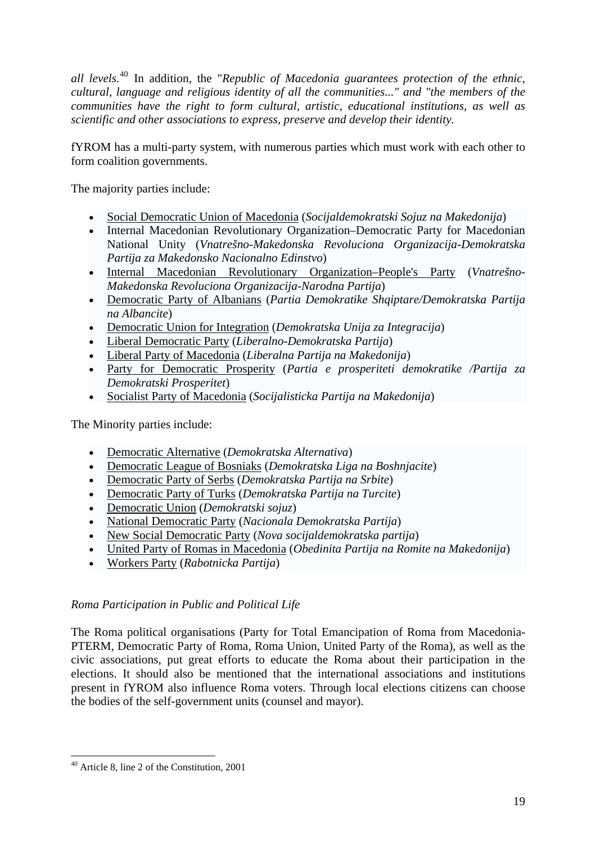<span id="page-19-0"></span>*all levels.*[40](#page-19-0) In addition, the "*Republic of Macedonia guarantees protection of the ethnic, cultural, language and religious identity of all the communities..." and "the members of the communities have the right to form cultural, artistic, educational institutions, as well as scientific and other associations to express, preserve and develop their identity.* 

fYROM has a [multi-party](http://en.wikipedia.org/wiki/Multi-party) system, with numerous parties which must work with each other to form [coalition governments](http://en.wikipedia.org/wiki/Coalition_government).

The majority parties include:

- [Social Democratic Union of Macedonia](http://en.wikipedia.org/wiki/Social_Democratic_Union_of_Macedonia) (*Socijaldemokratski Sojuz na Makedonija*)
- Internal Macedonian Revolutionary Organization–Democratic Party for Macedonian National Unity (*Vnatrešno-Makedonska Revoluciona Organizacija-Demokratska Partija za Makedonsko Nacionalno Edinstvo*)
- [Internal Macedonian Revolutionary Organization–People's Party](http://en.wikipedia.org/wiki/VMRO-NP) (*Vnatrešno-Makedonska Revoluciona Organizacija-Narodna Partija*)
- [Democratic Party of Albanians](http://en.wikipedia.org/wiki/Democratic_Party_of_Albanians) (*Partia Demokratike Shqiptare/Demokratska Partija na Albancite*)
- [Democratic Union for Integration](http://en.wikipedia.org/wiki/Democratic_Union_for_Integration) (*Demokratska Unija za Integracija*)
- [Liberal Democratic Party](http://en.wikipedia.org/wiki/Liberal_Democratic_Party_%28Macedonia%29) (*Liberalno-Demokratska Partija*)
- [Liberal Party of Macedonia](http://en.wikipedia.org/wiki/Liberal_Party_of_Macedonia) (*Liberalna Partija na Makedonija*)
- [Party for Democratic Prosperity](http://en.wikipedia.org/wiki/Party_for_Democratic_Prosperity) (*Partia e prosperiteti demokratike /Partija za Demokratski Prosperitet*)
- [Socialist Party of Macedonia](http://en.wikipedia.org/wiki/Socialist_Party_of_Macedonia) (*Socijalisticka Partija na Makedonija*)

The Minority parties include:

- [Democratic Alternative](http://en.wikipedia.org/wiki/Democratic_Alternative_%28Macedonia%29) (*Demokratska Alternativa*)
- [Democratic League of Bosniaks](http://en.wikipedia.org/wiki/Democratic_League_of_Bosniaks) (*Demokratska Liga na Boshnjacite*)
- [Democratic Party of Serbs](http://en.wikipedia.org/wiki/Democratic_Party_of_Serbs) (*Demokratska Partija na Srbite*)
- [Democratic Party of Turks](http://en.wikipedia.org/wiki/Democratic_Party_of_Turks) (*Demokratska Partija na Turcite*)
- [Democratic Union](http://en.wikipedia.org/w/index.php?title=Democratic_Union_%28Macedonia%29&action=edit) (*Demokratski sojuz*)
- [National Democratic Party](http://en.wikipedia.org/wiki/National_Democratic_Party_%28Macedonia%29) (*Nacionala Demokratska Partija*)
- [New Social Democratic Party](http://en.wikipedia.org/wiki/New_Social_Democratic_Party) (*Nova socijaldemokratska partija*)
- [United Party of Romas in Macedonia](http://en.wikipedia.org/wiki/United_Party_of_Romas_in_Macedonia) (*Obedinita Partija na Romite na Makedonija*)
- [Workers Party](http://en.wikipedia.org/wiki/Workers_Party_%28Macedonia%29) (*Rabotnicka Partija*)

## *Roma Participation in Public and Political Life*

The Roma political organisations (Party for Total Emancipation of Roma from Macedonia-PTERM, Democratic Party of Roma, Roma Union, United Party of the Roma), as well as the civic associations, put great efforts to educate the Roma about their participation in the elections. It should also be mentioned that the international associations and institutions present in fYROM also influence Roma voters. Through local elections citizens can choose the bodies of the self-government units (counsel and mayor).

 $\overline{a}$ 40 Article 8, line 2 of the Constitution, 2001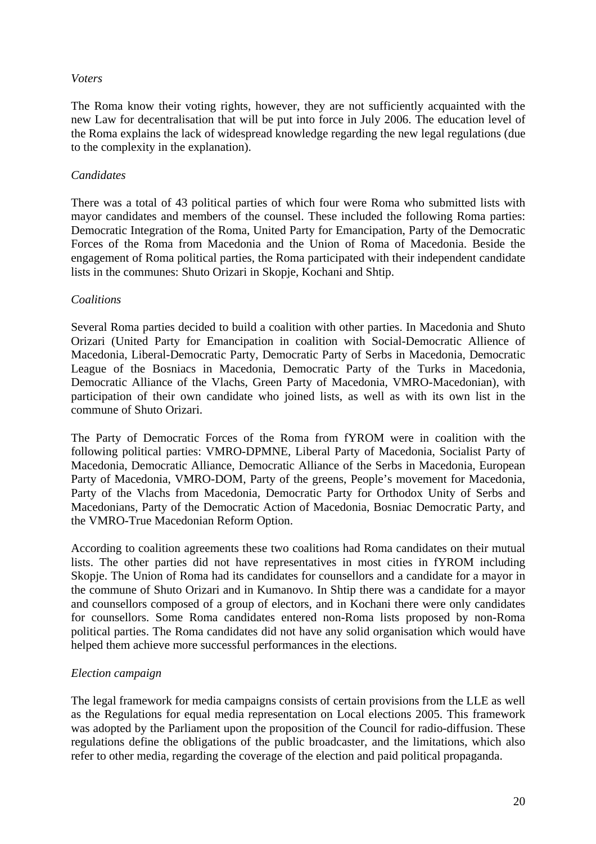### *Voters*

The Roma know their voting rights, however, they are not sufficiently acquainted with the new Law for decentralisation that will be put into force in July 2006. The education level of the Roma explains the lack of widespread knowledge regarding the new legal regulations (due to the complexity in the explanation).

## *Candidates*

There was a total of 43 political parties of which four were Roma who submitted lists with mayor candidates and members of the counsel. These included the following Roma parties: Democratic Integration of the Roma, United Party for Emancipation, Party of the Democratic Forces of the Roma from Macedonia and the Union of Roma of Macedonia. Beside the engagement of Roma political parties, the Roma participated with their independent candidate lists in the communes: Shuto Orizari in Skopje, Kochani and Shtip.

### *Coalitions*

Several Roma parties decided to build a coalition with other parties. In Macedonia and Shuto Orizari (United Party for Emancipation in coalition with Social-Democratic Allience of Macedonia, Liberal-Democratic Party, Democratic Party of Serbs in Macedonia, Democratic League of the Bosniacs in Macedonia, Democratic Party of the Turks in Macedonia, Democratic Alliance of the Vlachs, Green Party of Macedonia, VMRO-Macedonian), with participation of their own candidate who joined lists, as well as with its own list in the commune of Shuto Orizari.

The Party of Democratic Forces of the Roma from fYROM were in coalition with the following political parties: VMRO-DPMNE, Liberal Party of Macedonia, Socialist Party of Macedonia, Democratic Alliance, Democratic Alliance of the Serbs in Macedonia, European Party of Macedonia, VMRO-DOM, Party of the greens, People's movement for Macedonia, Party of the Vlachs from Macedonia, Democratic Party for Orthodox Unity of Serbs and Macedonians, Party of the Democratic Action of Macedonia, Bosniac Democratic Party, and the VMRO-True Macedonian Reform Option.

According to coalition agreements these two coalitions had Roma candidates on their mutual lists. The other parties did not have representatives in most cities in fYROM including Skopie. The Union of Roma had its candidates for counsellors and a candidate for a mayor in the commune of Shuto Orizari and in Kumanovo. In Shtip there was a candidate for a mayor and counsellors composed of a group of electors, and in Kochani there were only candidates for counsellors. Some Roma candidates entered non-Roma lists proposed by non-Roma political parties. The Roma candidates did not have any solid organisation which would have helped them achieve more successful performances in the elections.

## *Election campaign*

The legal framework for media campaigns consists of certain provisions from the LLE as well as the Regulations for equal media representation on Local elections 2005. This framework was adopted by the Parliament upon the proposition of the Council for radio-diffusion. These regulations define the obligations of the public broadcaster, and the limitations, which also refer to other media, regarding the coverage of the election and paid political propaganda.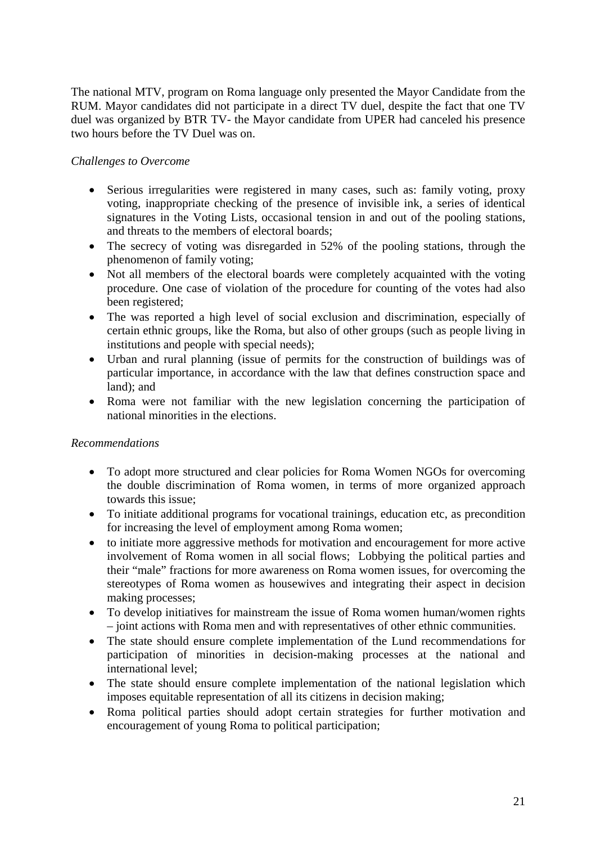The national MTV, program on Roma language only presented the Mayor Candidate from the RUM. Mayor candidates did not participate in a direct TV duel, despite the fact that one TV duel was organized by BTR TV- the Mayor candidate from UPER had canceled his presence two hours before the TV Duel was on.

## *Challenges to Overcome*

- Serious irregularities were registered in many cases, such as: family voting, proxy voting, inappropriate checking of the presence of invisible ink, a series of identical signatures in the Voting Lists, occasional tension in and out of the pooling stations, and threats to the members of electoral boards;
- The secrecy of voting was disregarded in 52% of the pooling stations, through the phenomenon of family voting;
- Not all members of the electoral boards were completely acquainted with the voting procedure. One case of violation of the procedure for counting of the votes had also been registered;
- The was reported a high level of social exclusion and discrimination, especially of certain ethnic groups, like the Roma, but also of other groups (such as people living in institutions and people with special needs);
- Urban and rural planning (issue of permits for the construction of buildings was of particular importance, in accordance with the law that defines construction space and land); and
- Roma were not familiar with the new legislation concerning the participation of national minorities in the elections.

## *Recommendations*

- To adopt more structured and clear policies for Roma Women NGOs for overcoming the double discrimination of Roma women, in terms of more organized approach towards this issue;
- To initiate additional programs for vocational trainings, education etc, as precondition for increasing the level of employment among Roma women;
- to initiate more aggressive methods for motivation and encouragement for more active involvement of Roma women in all social flows; Lobbying the political parties and their "male" fractions for more awareness on Roma women issues, for overcoming the stereotypes of Roma women as housewives and integrating their aspect in decision making processes;
- To develop initiatives for mainstream the issue of Roma women human/women rights – joint actions with Roma men and with representatives of other ethnic communities.
- The state should ensure complete implementation of the Lund recommendations for participation of minorities in decision-making processes at the national and international level;
- The state should ensure complete implementation of the national legislation which imposes equitable representation of all its citizens in decision making;
- Roma political parties should adopt certain strategies for further motivation and encouragement of young Roma to political participation;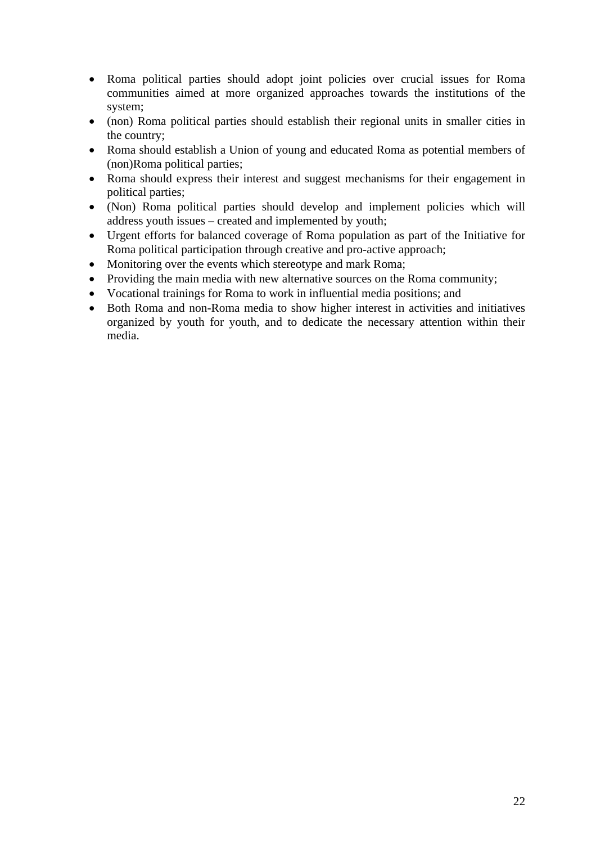- Roma political parties should adopt joint policies over crucial issues for Roma communities aimed at more organized approaches towards the institutions of the system;
- (non) Roma political parties should establish their regional units in smaller cities in the country;
- Roma should establish a Union of young and educated Roma as potential members of (non)Roma political parties;
- Roma should express their interest and suggest mechanisms for their engagement in political parties;
- (Non) Roma political parties should develop and implement policies which will address youth issues – created and implemented by youth;
- Urgent efforts for balanced coverage of Roma population as part of the Initiative for Roma political participation through creative and pro-active approach;
- Monitoring over the events which stereotype and mark Roma;
- Providing the main media with new alternative sources on the Roma community;
- Vocational trainings for Roma to work in influential media positions; and
- Both Roma and non-Roma media to show higher interest in activities and initiatives organized by youth for youth, and to dedicate the necessary attention within their media.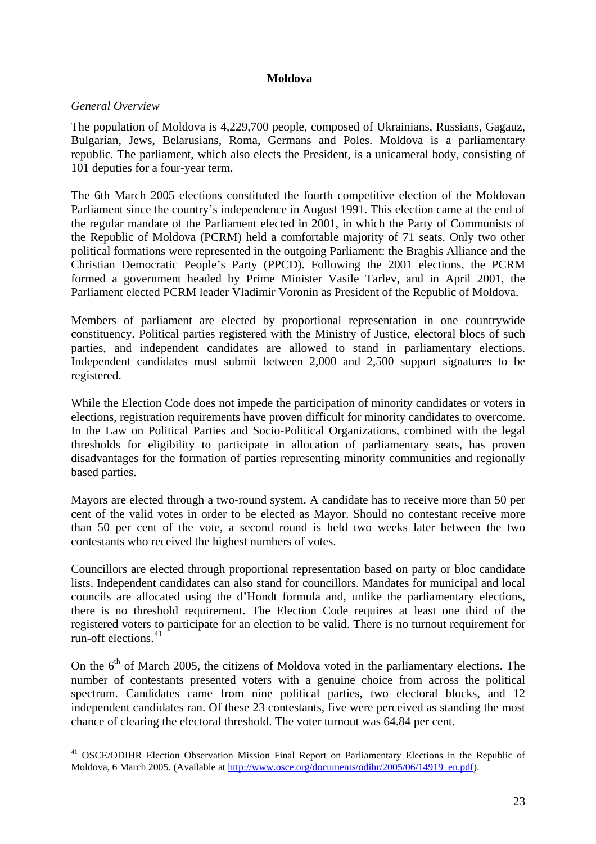### **Moldova**

### <span id="page-23-0"></span>*General Overview*

 $\overline{a}$ 

The population of Moldova is 4,229,700 people, composed of Ukrainians, Russians, Gagauz, Bulgarian, Jews, Belarusians, Roma, Germans and Poles. Moldova is a parliamentary republic. The parliament, which also elects the President, is a unicameral body, consisting of 101 deputies for a four-year term.

The 6th March 2005 elections constituted the fourth competitive election of the Moldovan Parliament since the country's independence in August 1991. This election came at the end of the regular mandate of the Parliament elected in 2001, in which the Party of Communists of the Republic of Moldova (PCRM) held a comfortable majority of 71 seats. Only two other political formations were represented in the outgoing Parliament: the Braghis Alliance and the Christian Democratic People's Party (PPCD). Following the 2001 elections, the PCRM formed a government headed by Prime Minister Vasile Tarlev, and in April 2001, the Parliament elected PCRM leader Vladimir Voronin as President of the Republic of Moldova.

Members of parliament are elected by proportional representation in one countrywide constituency. Political parties registered with the Ministry of Justice, electoral blocs of such parties, and independent candidates are allowed to stand in parliamentary elections. Independent candidates must submit between 2,000 and 2,500 support signatures to be registered.

While the Election Code does not impede the participation of minority candidates or voters in elections, registration requirements have proven difficult for minority candidates to overcome. In the Law on Political Parties and Socio-Political Organizations, combined with the legal thresholds for eligibility to participate in allocation of parliamentary seats, has proven disadvantages for the formation of parties representing minority communities and regionally based parties.

Mayors are elected through a two-round system. A candidate has to receive more than 50 per cent of the valid votes in order to be elected as Mayor. Should no contestant receive more than 50 per cent of the vote, a second round is held two weeks later between the two contestants who received the highest numbers of votes.

Councillors are elected through proportional representation based on party or bloc candidate lists. Independent candidates can also stand for councillors. Mandates for municipal and local councils are allocated using the d'Hondt formula and, unlike the parliamentary elections, there is no threshold requirement. The Election Code requires at least one third of the registered voters to participate for an election to be valid. There is no turnout requirement for run-off elections.<sup>[41](#page-23-0)</sup>

On the  $6<sup>th</sup>$  of March 2005, the citizens of Moldova voted in the parliamentary elections. The number of contestants presented voters with a genuine choice from across the political spectrum. Candidates came from nine political parties, two electoral blocks, and 12 independent candidates ran. Of these 23 contestants, five were perceived as standing the most chance of clearing the electoral threshold. The voter turnout was 64.84 per cent.

<sup>&</sup>lt;sup>41</sup> OSCE/ODIHR Election Observation Mission Final Report on Parliamentary Elections in the Republic of Moldova, 6 March 2005. (Available at [http://www.osce.org/documents/odihr/2005/06/14919\\_en.pdf\)](http://www.osce.org/documents/odihr/2005/06/14919_en.pdf).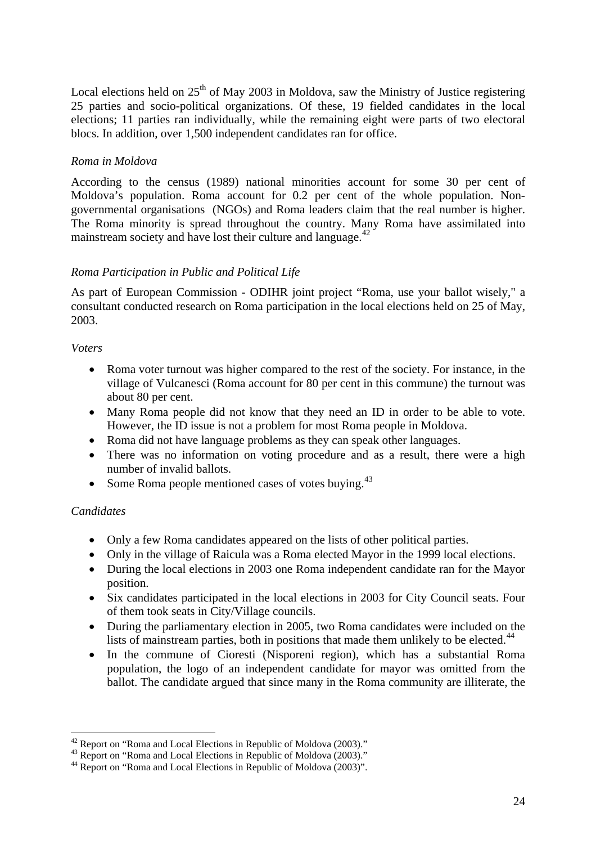<span id="page-24-0"></span>Local elections held on  $25<sup>th</sup>$  of May 2003 in Moldova, saw the Ministry of Justice registering 25 parties and socio-political organizations. Of these, 19 fielded candidates in the local elections; 11 parties ran individually, while the remaining eight were parts of two electoral blocs. In addition, over 1,500 independent candidates ran for office.

## *Roma in Moldova*

According to the census (1989) national minorities account for some 30 per cent of Moldova's population. Roma account for 0.2 per cent of the whole population. Nongovernmental organisations (NGOs) and Roma leaders claim that the real number is higher. The Roma minority is spread throughout the country. Many Roma have assimilated into mainstream society and have lost their culture and language. $42$ 

## *Roma Participation in Public and Political Life*

As part of European Commission - ODIHR joint project "Roma, use your ballot wisely," a consultant conducted research on Roma participation in the local elections held on 25 of May, 2003.

### *Voters*

- Roma voter turnout was higher compared to the rest of the society. For instance, in the village of Vulcanesci (Roma account for 80 per cent in this commune) the turnout was about 80 per cent.
- Many Roma people did not know that they need an ID in order to be able to vote. However, the ID issue is not a problem for most Roma people in Moldova.
- Roma did not have language problems as they can speak other languages.
- There was no information on voting procedure and as a result, there were a high number of invalid ballots.
- Some Roma people mentioned cases of votes buying. $43$

## *Candidates*

- Only a few Roma candidates appeared on the lists of other political parties.
- Only in the village of Raicula was a Roma elected Mayor in the 1999 local elections.
- During the local elections in 2003 one Roma independent candidate ran for the Mayor position.
- Six candidates participated in the local elections in 2003 for City Council seats. Four of them took seats in City/Village councils.
- During the parliamentary election in 2005, two Roma candidates were included on the lists of mainstream parties, both in positions that made them unlikely to be elected.<sup>[44](#page-24-0)</sup>
- In the commune of Cioresti (Nisporeni region), which has a substantial Roma population, the logo of an independent candidate for mayor was omitted from the ballot. The candidate argued that since many in the Roma community are illiterate, the

 $\overline{a}$ <sup>42</sup> Report on "Roma and Local Elections in Republic of Moldova (2003)."

<sup>&</sup>lt;sup>43</sup> Report on "Roma and Local Elections in Republic of Moldova (2003)."

<sup>&</sup>lt;sup>44</sup> Report on "Roma and Local Elections in Republic of Moldova (2003)".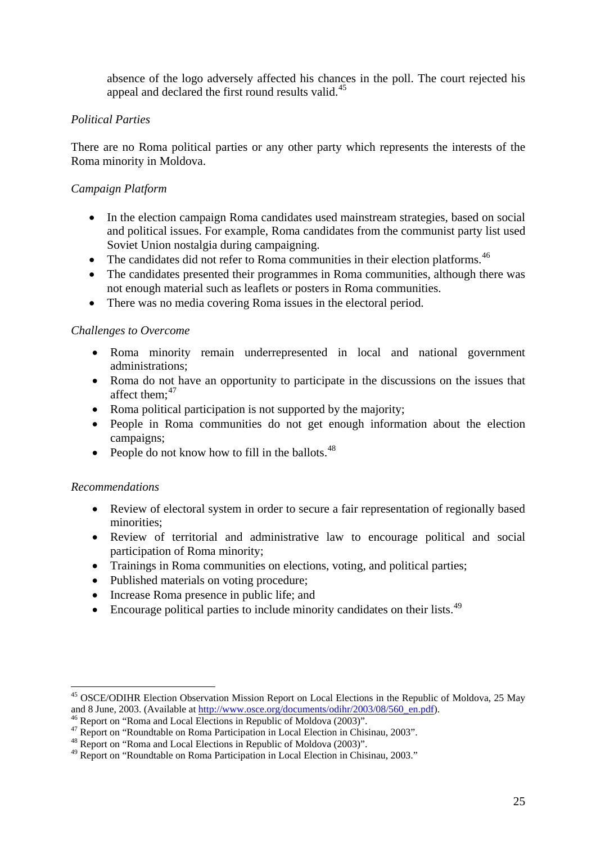<span id="page-25-0"></span>absence of the logo adversely affected his chances in the poll. The court rejected his appeal and declared the first round results valid.<sup>[45](#page-25-0)</sup>

## *Political Parties*

There are no Roma political parties or any other party which represents the interests of the Roma minority in Moldova.

## *Campaign Platform*

- In the election campaign Roma candidates used mainstream strategies, based on social and political issues. For example, Roma candidates from the communist party list used Soviet Union nostalgia during campaigning.
- The candidates did not refer to Roma communities in their election platforms.<sup>[46](#page-25-0)</sup>
- The candidates presented their programmes in Roma communities, although there was not enough material such as leaflets or posters in Roma communities.
- There was no media covering Roma issues in the electoral period.

## *Challenges to Overcome*

- Roma minority remain underrepresented in local and national government administrations;
- Roma do not have an opportunity to participate in the discussions on the issues that affect them: $47$
- Roma political participation is not supported by the majority;
- People in Roma communities do not get enough information about the election campaigns;
- People do not know how to fill in the ballots.  $48$

## *Recommendations*

- Review of electoral system in order to secure a fair representation of regionally based minorities;
- Review of territorial and administrative law to encourage political and social participation of Roma minority;
- Trainings in Roma communities on elections, voting, and political parties;
- Published materials on voting procedure;
- Increase Roma presence in public life; and
- Encourage political parties to include minority candidates on their lists. $49$

<sup>45</sup> OSCE/ODIHR Election Observation Mission Report on Local Elections in the Republic of Moldova, 25 May and 8 June, 2003. (Available at [http://www.osce.org/documents/odihr/2003/08/560\\_en.pdf](http://www.osce.org/documents/odihr/2003/08/560_en.pdf)).<br><sup>46</sup> Report on "Roma and Local Elections in Republic of Moldova (2003)".

<sup>&</sup>lt;sup>47</sup> Report on "Roundtable on Roma Participation in Local Election in Chisinau, 2003".

<sup>&</sup>lt;sup>48</sup> Report on "Roma and Local Elections in Republic of Moldova (2003)".

<sup>49</sup> Report on "Roundtable on Roma Participation in Local Election in Chisinau, 2003."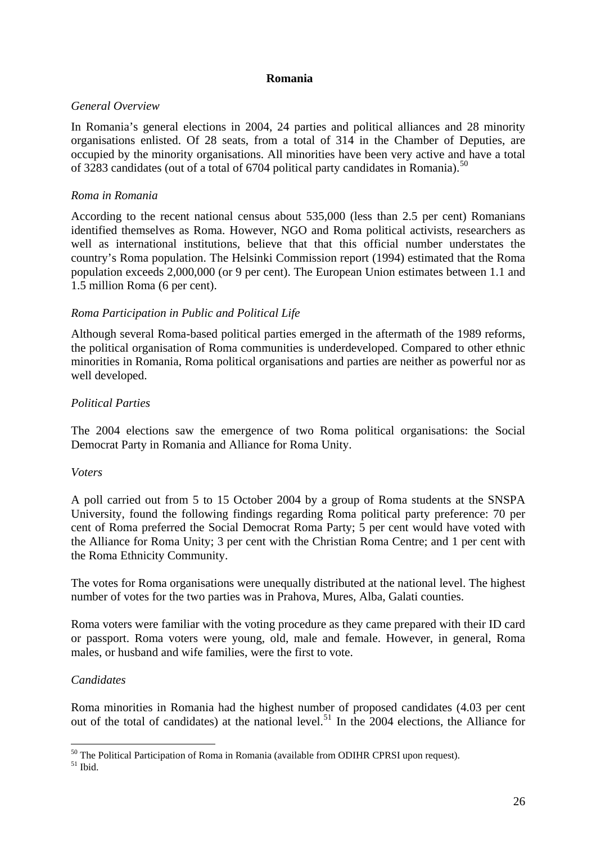### **Romania**

## <span id="page-26-0"></span>*General Overview*

In Romania's general elections in 2004, 24 parties and political alliances and 28 minority organisations enlisted. Of 28 seats, from a total of 314 in the Chamber of Deputies, are occupied by the minority organisations. All minorities have been very active and have a total of 3283 candidates (out of a total of 6704 political party candidates in Romania).<sup>[50](#page-26-0)</sup>

## *Roma in Romania*

According to the recent national census about 535,000 (less than 2.5 per cent) Romanians identified themselves as Roma. However, NGO and Roma political activists, researchers as well as international institutions, believe that that this official number understates the country's Roma population. The Helsinki Commission report (1994) estimated that the Roma population exceeds 2,000,000 (or 9 per cent). The European Union estimates between 1.1 and 1.5 million Roma (6 per cent).

## *Roma Participation in Public and Political Life*

Although several Roma-based political parties emerged in the aftermath of the 1989 reforms, the political organisation of Roma communities is underdeveloped. Compared to other ethnic minorities in Romania, Roma political organisations and parties are neither as powerful nor as well developed.

## *Political Parties*

The 2004 elections saw the emergence of two Roma political organisations: the Social Democrat Party in Romania and Alliance for Roma Unity.

## *Voters*

A poll carried out from 5 to 15 October 2004 by a group of Roma students at the SNSPA University, found the following findings regarding Roma political party preference: 70 per cent of Roma preferred the Social Democrat Roma Party; 5 per cent would have voted with the Alliance for Roma Unity; 3 per cent with the Christian Roma Centre; and 1 per cent with the Roma Ethnicity Community.

The votes for Roma organisations were unequally distributed at the national level. The highest number of votes for the two parties was in Prahova, Mures, Alba, Galati counties.

Roma voters were familiar with the voting procedure as they came prepared with their ID card or passport. Roma voters were young, old, male and female. However, in general, Roma males, or husband and wife families, were the first to vote.

## *Candidates*

Roma minorities in Romania had the highest number of proposed candidates (4.03 per cent out of the total of candidates) at the national level.<sup>[51](#page-26-0)</sup> In the 2004 elections, the Alliance for

 $\overline{a}$ <sup>50</sup> The Political Participation of Roma in Romania (available from ODIHR CPRSI upon request).

 $51$  Ibid.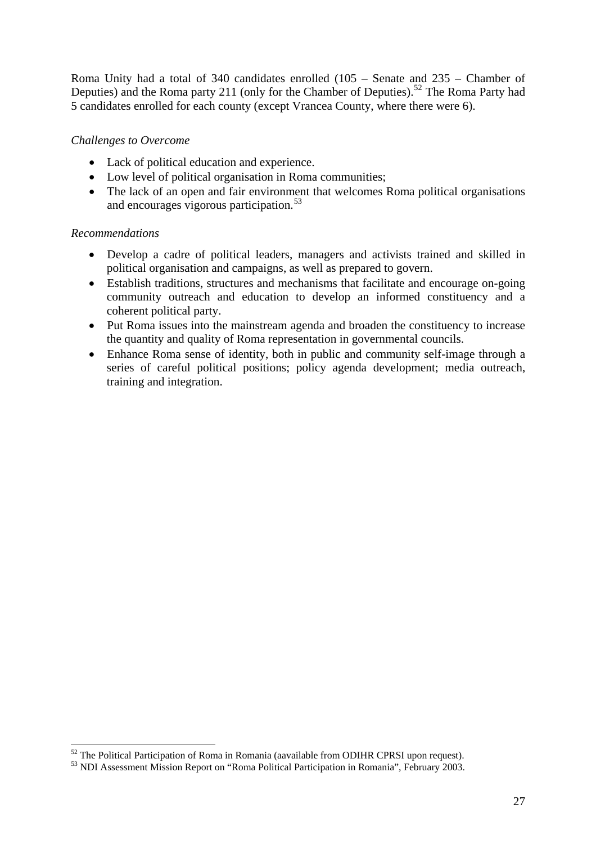<span id="page-27-0"></span>Roma Unity had a total of 340 candidates enrolled (105 – Senate and 235 – Chamber of Deputies) and the Roma party 211 (only for the Chamber of Deputies).<sup>[52](#page-27-0)</sup> The Roma Party had 5 candidates enrolled for each county (except Vrancea County, where there were 6).

## *Challenges to Overcome*

- Lack of political education and experience.
- Low level of political organisation in Roma communities;
- The lack of an open and fair environment that welcomes Roma political organisations and encourages vigorous participation.<sup>[53](#page-27-0)</sup>

### *Recommendations*

- Develop a cadre of political leaders, managers and activists trained and skilled in political organisation and campaigns, as well as prepared to govern.
- Establish traditions, structures and mechanisms that facilitate and encourage on-going community outreach and education to develop an informed constituency and a coherent political party.
- Put Roma issues into the mainstream agenda and broaden the constituency to increase the quantity and quality of Roma representation in governmental councils.
- Enhance Roma sense of identity, both in public and community self-image through a series of careful political positions; policy agenda development; media outreach, training and integration.

 $52$  The Political Participation of Roma in Romania (aavailable from ODIHR CPRSI upon request).<br> $53$  NDI Assessment Mission Report on "Roma Political Participation in Romania", February 2003.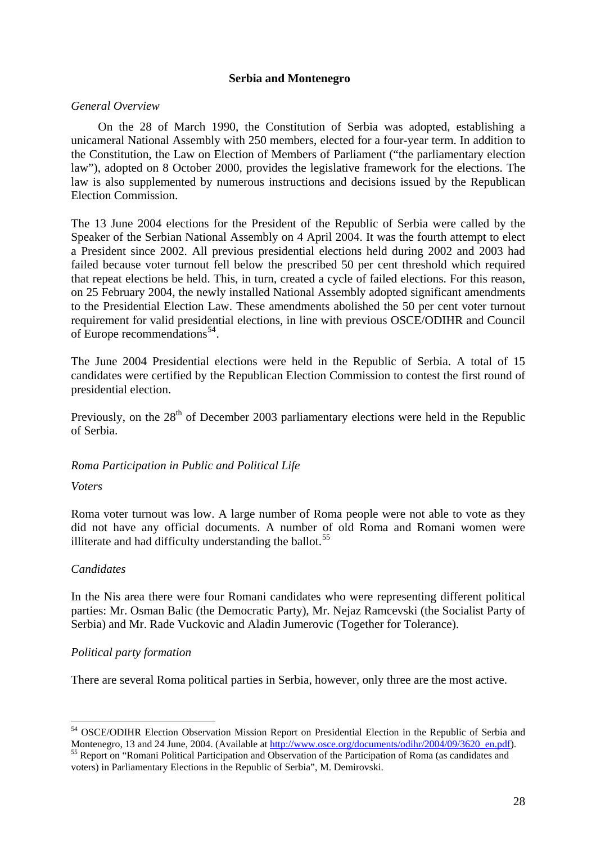#### **Serbia and Montenegro**

#### <span id="page-28-0"></span>*General Overview*

On the 28 of March 1990, the Constitution of Serbia was adopted, establishing a unicameral National Assembly with 250 members, elected for a four-year term. In addition to the Constitution, the Law on Election of Members of Parliament ("the parliamentary election law"), adopted on 8 October 2000, provides the legislative framework for the elections. The law is also supplemented by numerous instructions and decisions issued by the Republican Election Commission.

The 13 June 2004 elections for the President of the Republic of Serbia were called by the Speaker of the Serbian National Assembly on 4 April 2004. It was the fourth attempt to elect a President since 2002. All previous presidential elections held during 2002 and 2003 had failed because voter turnout fell below the prescribed 50 per cent threshold which required that repeat elections be held. This, in turn, created a cycle of failed elections. For this reason, on 25 February 2004, the newly installed National Assembly adopted significant amendments to the Presidential Election Law. These amendments abolished the 50 per cent voter turnout requirement for valid presidential elections, in line with previous OSCE/ODIHR and Council of Europe recommendations<sup>[54](#page-28-0)</sup>.

The June 2004 Presidential elections were held in the Republic of Serbia. A total of 15 candidates were certified by the Republican Election Commission to contest the first round of presidential election.

Previously, on the  $28<sup>th</sup>$  of December 2003 parliamentary elections were held in the Republic of Serbia.

#### *Roma Participation in Public and Political Life*

#### *Voters*

Roma voter turnout was low. A large number of Roma people were not able to vote as they did not have any official documents. A number of old Roma and Romani women were illiterate and had difficulty understanding the ballot.<sup>[55](#page-28-0)</sup>

#### *Candidates*

 $\overline{a}$ 

In the Nis area there were four Romani candidates who were representing different political parties: Mr. Osman Balic (the Democratic Party), Mr. Nejaz Ramcevski (the Socialist Party of Serbia) and Mr. Rade Vuckovic and Aladin Jumerovic (Together for Tolerance).

#### *Political party formation*

There are several Roma political parties in Serbia, however, only three are the most active.

<sup>&</sup>lt;sup>54</sup> OSCE/ODIHR Election Observation Mission Report on Presidential Election in the Republic of Serbia and Montenegro, 13 and 24 June, 2004. (Available at [http://www.osce.org/documents/odihr/2004/09/3620\\_en.pdf\)](http://www.osce.org/documents/odihr/2004/09/3620_en.pdf). <sup>55</sup> Report on "Romani Political Participation and Observation of the Participation of Roma (as candidates and

voters) in Parliamentary Elections in the Republic of Serbia", M. Demirovski.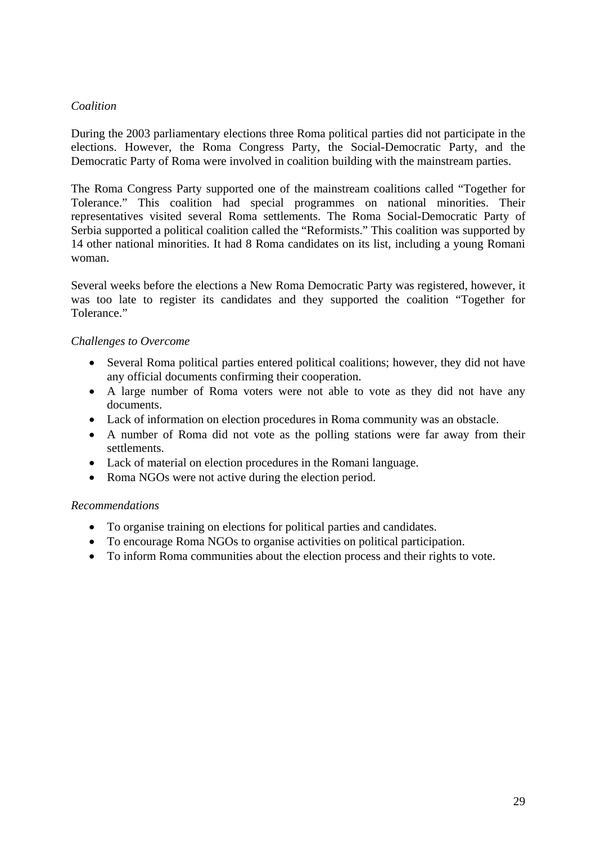## *Coalition*

During the 2003 parliamentary elections three Roma political parties did not participate in the elections. However, the Roma Congress Party, the Social-Democratic Party, and the Democratic Party of Roma were involved in coalition building with the mainstream parties.

The Roma Congress Party supported one of the mainstream coalitions called "Together for Tolerance." This coalition had special programmes on national minorities. Their representatives visited several Roma settlements. The Roma Social-Democratic Party of Serbia supported a political coalition called the "Reformists." This coalition was supported by 14 other national minorities. It had 8 Roma candidates on its list, including a young Romani woman.

Several weeks before the elections a New Roma Democratic Party was registered, however, it was too late to register its candidates and they supported the coalition "Together for Tolerance."

### *Challenges to Overcome*

- Several Roma political parties entered political coalitions; however, they did not have any official documents confirming their cooperation.
- A large number of Roma voters were not able to vote as they did not have any documents.
- Lack of information on election procedures in Roma community was an obstacle.
- A number of Roma did not vote as the polling stations were far away from their settlements.
- Lack of material on election procedures in the Romani language.
- Roma NGOs were not active during the election period.

#### *Recommendations*

- To organise training on elections for political parties and candidates.
- To encourage Roma NGOs to organise activities on political participation.
- To inform Roma communities about the election process and their rights to vote.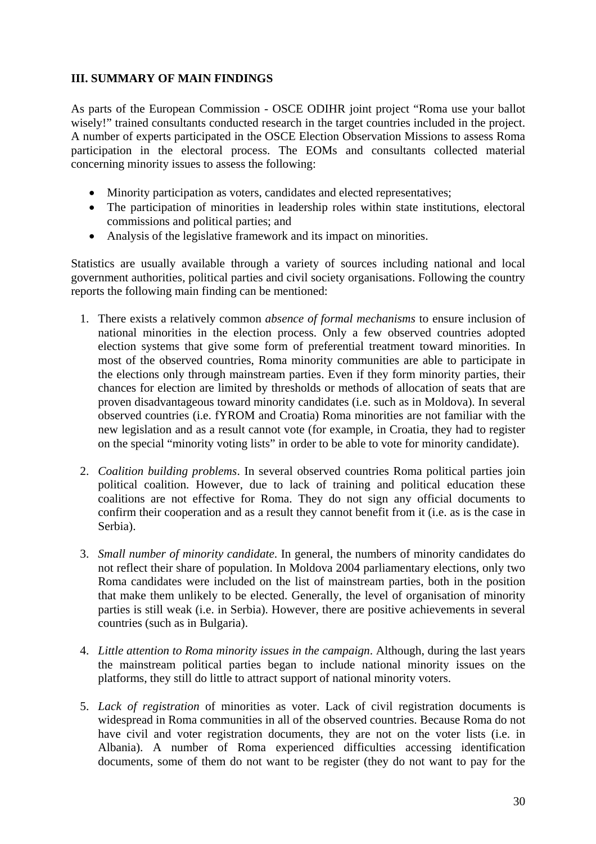## <span id="page-30-0"></span>**III. SUMMARY OF MAIN FINDINGS**

As parts of the European Commission - OSCE ODIHR joint project "Roma use your ballot wisely!" trained consultants conducted research in the target countries included in the project. A number of experts participated in the OSCE Election Observation Missions to assess Roma participation in the electoral process. The EOMs and consultants collected material concerning minority issues to assess the following:

- Minority participation as voters, candidates and elected representatives;
- The participation of minorities in leadership roles within state institutions, electoral commissions and political parties; and
- Analysis of the legislative framework and its impact on minorities.

Statistics are usually available through a variety of sources including national and local government authorities, political parties and civil society organisations. Following the country reports the following main finding can be mentioned:

- 1. There exists a relatively common *absence of formal mechanisms* to ensure inclusion of national minorities in the election process. Only a few observed countries adopted election systems that give some form of preferential treatment toward minorities. In most of the observed countries, Roma minority communities are able to participate in the elections only through mainstream parties. Even if they form minority parties, their chances for election are limited by thresholds or methods of allocation of seats that are proven disadvantageous toward minority candidates (i.e. such as in Moldova). In several observed countries (i.e. fYROM and Croatia) Roma minorities are not familiar with the new legislation and as a result cannot vote (for example, in Croatia, they had to register on the special "minority voting lists" in order to be able to vote for minority candidate).
- 2. *Coalition building problems*. In several observed countries Roma political parties join political coalition. However, due to lack of training and political education these coalitions are not effective for Roma. They do not sign any official documents to confirm their cooperation and as a result they cannot benefit from it (i.e. as is the case in Serbia).
- 3. *Small number of minority candidate*. In general, the numbers of minority candidates do not reflect their share of population. In Moldova 2004 parliamentary elections, only two Roma candidates were included on the list of mainstream parties, both in the position that make them unlikely to be elected. Generally, the level of organisation of minority parties is still weak (i.e. in Serbia). However, there are positive achievements in several countries (such as in Bulgaria).
- 4. *Little attention to Roma minority issues in the campaign*. Although, during the last years the mainstream political parties began to include national minority issues on the platforms, they still do little to attract support of national minority voters.
- 5. *Lack of registration* of minorities as voter. Lack of civil registration documents is widespread in Roma communities in all of the observed countries. Because Roma do not have civil and voter registration documents, they are not on the voter lists (i.e. in Albania). A number of Roma experienced difficulties accessing identification documents, some of them do not want to be register (they do not want to pay for the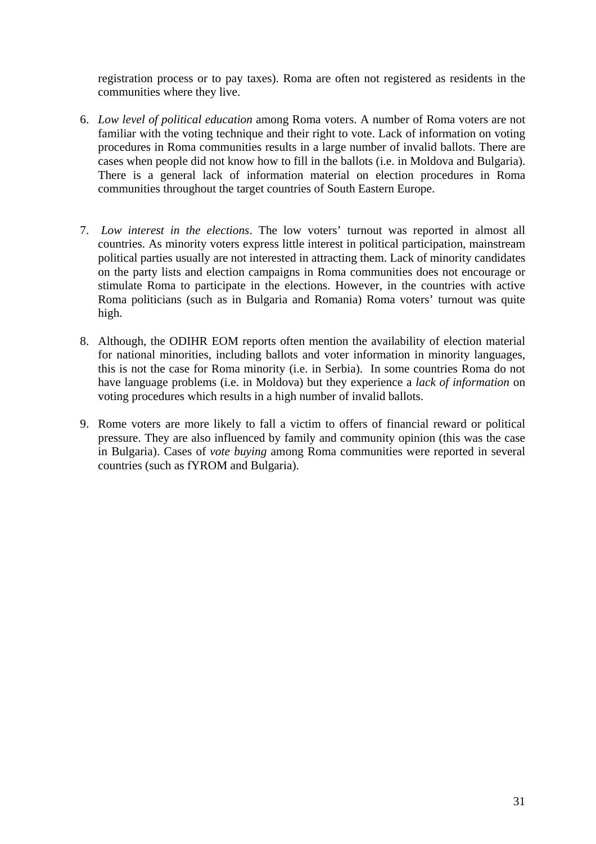registration process or to pay taxes). Roma are often not registered as residents in the communities where they live.

- 6. *Low level of political education* among Roma voters. A number of Roma voters are not familiar with the voting technique and their right to vote. Lack of information on voting procedures in Roma communities results in a large number of invalid ballots. There are cases when people did not know how to fill in the ballots (i.e. in Moldova and Bulgaria). There is a general lack of information material on election procedures in Roma communities throughout the target countries of South Eastern Europe.
- 7. *Low interest in the elections*. The low voters' turnout was reported in almost all countries. As minority voters express little interest in political participation, mainstream political parties usually are not interested in attracting them. Lack of minority candidates on the party lists and election campaigns in Roma communities does not encourage or stimulate Roma to participate in the elections. However, in the countries with active Roma politicians (such as in Bulgaria and Romania) Roma voters' turnout was quite high.
- 8. Although, the ODIHR EOM reports often mention the availability of election material for national minorities, including ballots and voter information in minority languages, this is not the case for Roma minority (i.e. in Serbia). In some countries Roma do not have language problems (i.e. in Moldova) but they experience a *lack of information* on voting procedures which results in a high number of invalid ballots.
- 9. Rome voters are more likely to fall a victim to offers of financial reward or political pressure. They are also influenced by family and community opinion (this was the case in Bulgaria). Cases of *vote buying* among Roma communities were reported in several countries (such as fYROM and Bulgaria).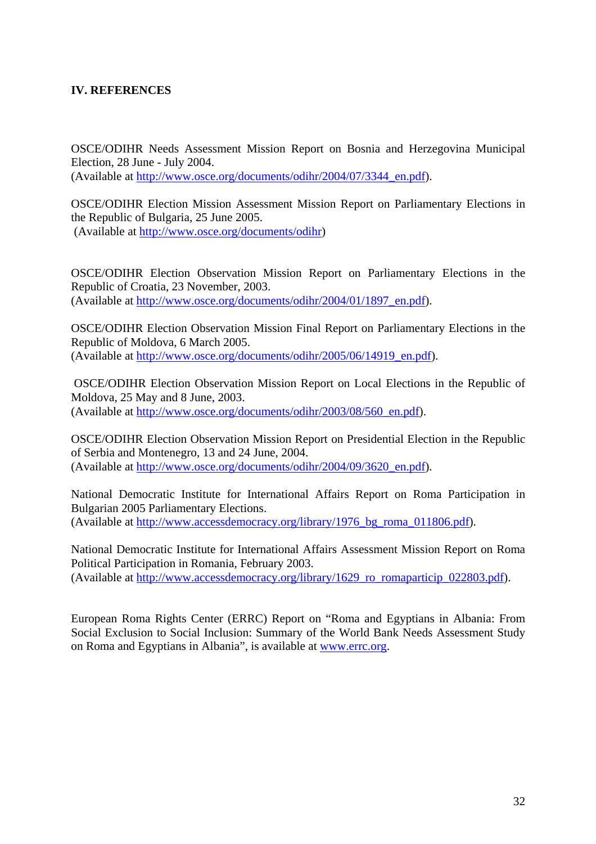## <span id="page-32-0"></span>**IV. REFERENCES**

OSCE/ODIHR Needs Assessment Mission Report on Bosnia and Herzegovina Municipal Election, 28 June - July 2004. (Available at [http://www.osce.org/documents/odihr/2004/07/3344\\_en.pdf\)](http://www.osce.org/documents/odihr/2004/07/3344_en.pdf).

OSCE/ODIHR Election Mission Assessment Mission Report on Parliamentary Elections in the Republic of Bulgaria, 25 June 2005. (Available at<http://www.osce.org/documents/odihr>)

OSCE/ODIHR Election Observation Mission Report on Parliamentary Elections in the Republic of Croatia, 23 November, 2003. (Available at [http://www.osce.org/documents/odihr/2004/01/1897\\_en.pdf\)](http://www.osce.org/documents/odihr/2004/01/1897_en.pdf).

OSCE/ODIHR Election Observation Mission Final Report on Parliamentary Elections in the Republic of Moldova, 6 March 2005. (Available at [http://www.osce.org/documents/odihr/2005/06/14919\\_en.pdf\)](http://www.osce.org/documents/odihr/2005/06/14919_en.pdf).

 OSCE/ODIHR Election Observation Mission Report on Local Elections in the Republic of Moldova, 25 May and 8 June, 2003. (Available at [http://www.osce.org/documents/odihr/2003/08/560\\_en.pdf\)](http://www.osce.org/documents/odihr/2003/08/560_en.pdf).

OSCE/ODIHR Election Observation Mission Report on Presidential Election in the Republic of Serbia and Montenegro, 13 and 24 June, 2004. (Available at [http://www.osce.org/documents/odihr/2004/09/3620\\_en.pdf\)](http://www.osce.org/documents/odihr/2004/09/3620_en.pdf).

National Democratic Institute for International Affairs Report on Roma Participation in Bulgarian 2005 Parliamentary Elections. (Available at [http://www.accessdemocracy.org/library/1976\\_bg\\_roma\\_011806.pdf\)](http://www.accessdemocracy.org/library/1976_bg_roma_011806.pdf).

National Democratic Institute for International Affairs Assessment Mission Report on Roma Political Participation in Romania, February 2003. (Available at [http://www.accessdemocracy.org/library/1629\\_ro\\_romaparticip\\_022803.pdf](http://www.accessdemocracy.org/library/1629_ro_romaparticip_022803.pdf)).

European Roma Rights Center (ERRC) Report on "Roma and Egyptians in Albania: From Social Exclusion to Social Inclusion: Summary of the World Bank Needs Assessment Study on Roma and Egyptians in Albania", is available at [www.errc.org](http://www.errc.org/).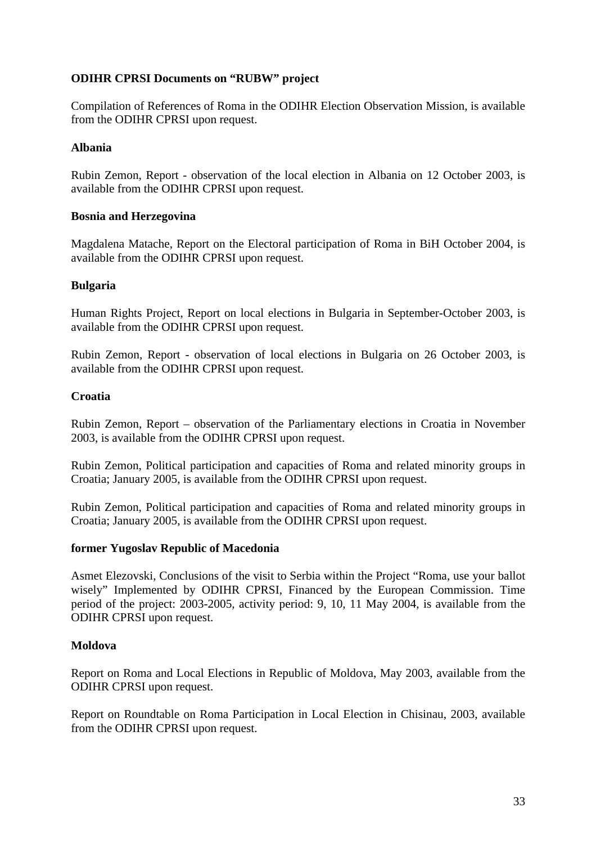## **ODIHR CPRSI Documents on "RUBW" project**

Compilation of References of Roma in the ODIHR Election Observation Mission, is available from the ODIHR CPRSI upon request.

### **Albania**

Rubin Zemon, Report - observation of the local election in Albania on 12 October 2003, is available from the ODIHR CPRSI upon request.

### **Bosnia and Herzegovina**

Magdalena Matache, Report on the Electoral participation of Roma in BiH October 2004, is available from the ODIHR CPRSI upon request.

### **Bulgaria**

Human Rights Project, Report on local elections in Bulgaria in September-October 2003, is available from the ODIHR CPRSI upon request.

Rubin Zemon, Report - observation of local elections in Bulgaria on 26 October 2003, is available from the ODIHR CPRSI upon request.

### **Croatia**

Rubin Zemon, Report – observation of the Parliamentary elections in Croatia in November 2003, is available from the ODIHR CPRSI upon request.

Rubin Zemon, Political participation and capacities of Roma and related minority groups in Croatia; January 2005, is available from the ODIHR CPRSI upon request.

Rubin Zemon, Political participation and capacities of Roma and related minority groups in Croatia; January 2005, is available from the ODIHR CPRSI upon request.

#### **former Yugoslav Republic of Macedonia**

Asmet Elezovski, Conclusions of the visit to Serbia within the Project "Roma, use your ballot wisely" Implemented by ODIHR CPRSI, Financed by the European Commission. Time period of the project: 2003-2005, activity period: 9, 10, 11 May 2004, is available from the ODIHR CPRSI upon request.

#### **Moldova**

Report on Roma and Local Elections in Republic of Moldova, May 2003, available from the ODIHR CPRSI upon request.

Report on Roundtable on Roma Participation in Local Election in Chisinau, 2003, available from the ODIHR CPRSI upon request.